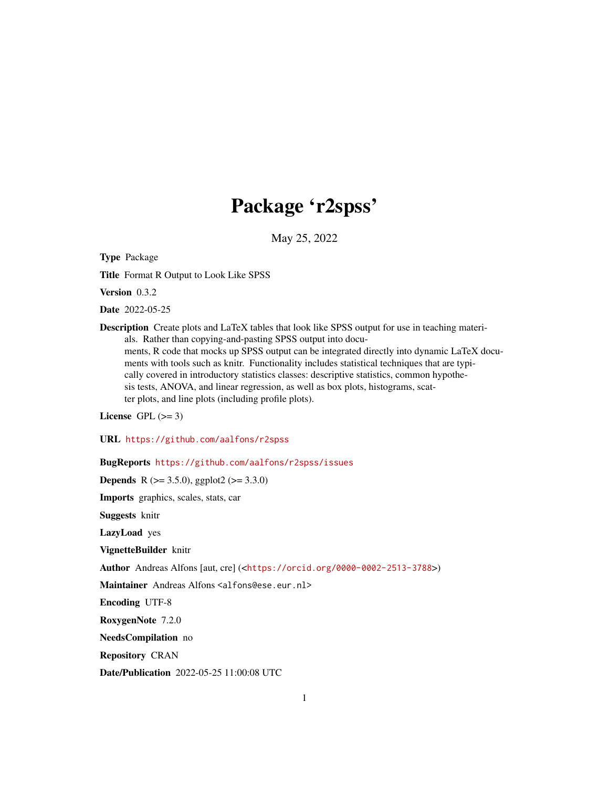# Package 'r2spss'

May 25, 2022

<span id="page-0-0"></span>Type Package

Title Format R Output to Look Like SPSS

Version 0.3.2

Date 2022-05-25

Description Create plots and LaTeX tables that look like SPSS output for use in teaching materials. Rather than copying-and-pasting SPSS output into documents, R code that mocks up SPSS output can be integrated directly into dynamic LaTeX documents with tools such as knitr. Functionality includes statistical techniques that are typically covered in introductory statistics classes: descriptive statistics, common hypothesis tests, ANOVA, and linear regression, as well as box plots, histograms, scatter plots, and line plots (including profile plots).

License GPL  $(>= 3)$ 

URL <https://github.com/aalfons/r2spss>

BugReports <https://github.com/aalfons/r2spss/issues>

**Depends** R ( $>= 3.5.0$ ), ggplot2 ( $>= 3.3.0$ )

Imports graphics, scales, stats, car

Suggests knitr

LazyLoad yes

VignetteBuilder knitr

Author Andreas Alfons [aut, cre] (<<https://orcid.org/0000-0002-2513-3788>>)

Maintainer Andreas Alfons <alfons@ese.eur.nl>

Encoding UTF-8

RoxygenNote 7.2.0

NeedsCompilation no

Repository CRAN

Date/Publication 2022-05-25 11:00:08 UTC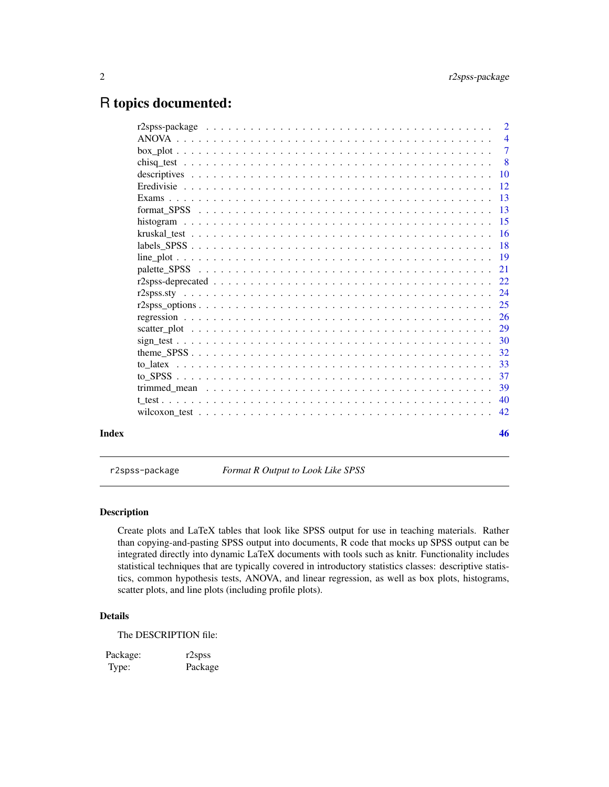# <span id="page-1-0"></span>R topics documented:

| Index | 46 |
|-------|----|

r2spss-package *Format R Output to Look Like SPSS*

# Description

Create plots and LaTeX tables that look like SPSS output for use in teaching materials. Rather than copying-and-pasting SPSS output into documents, R code that mocks up SPSS output can be integrated directly into dynamic LaTeX documents with tools such as knitr. Functionality includes statistical techniques that are typically covered in introductory statistics classes: descriptive statistics, common hypothesis tests, ANOVA, and linear regression, as well as box plots, histograms, scatter plots, and line plots (including profile plots).

# Details

The DESCRIPTION file:

Package: r2spss Type: Package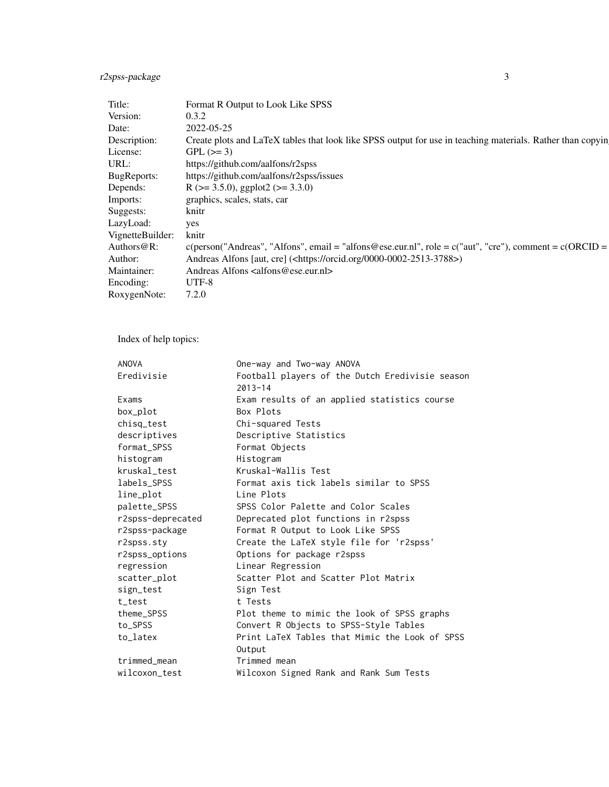# r2spss-package 3

| Format R Output to Look Like SPSS                                                                          |
|------------------------------------------------------------------------------------------------------------|
| 0.3.2                                                                                                      |
| 2022-05-25                                                                                                 |
| Create plots and LaTeX tables that look like SPSS output for use in teaching materials. Rather than copyin |
| $GPL (=3)$                                                                                                 |
| https://github.com/aalfons/r2spss                                                                          |
| https://github.com/aalfons/r2spss/issues                                                                   |
| R ( $> = 3.5.0$ ), ggplot2 ( $>= 3.3.0$ )                                                                  |
| graphics, scales, stats, car                                                                               |
| knitr                                                                                                      |
|                                                                                                            |
| VignetteBuilder: knitr                                                                                     |
|                                                                                                            |
| Andreas Alfons [aut, cre] ( <https: 0000-0002-2513-3788="" orcid.org="">)</https:>                         |
| Andreas Alfons <alfons@ese.eur.nl></alfons@ese.eur.nl>                                                     |
| UTF-8                                                                                                      |
| RoxygenNote: 7.2.0                                                                                         |
|                                                                                                            |

Index of help topics:

| <b>ANOVA</b>      | One-way and Two-way ANOVA                                      |
|-------------------|----------------------------------------------------------------|
| Eredivisie        | Football players of the Dutch Eredivisie season<br>$2013 - 14$ |
| Exams             | Exam results of an applied statistics course                   |
| box_plot          | Box Plots                                                      |
| chisq_test        | Chi-squared Tests                                              |
| descriptives      | Descriptive Statistics                                         |
| format_SPSS       | Format Objects                                                 |
| histogram         | Histogram                                                      |
| kruskal_test      | Kruskal-Wallis Test                                            |
| labels_SPSS       | Format axis tick labels similar to SPSS                        |
| line_plot         | Line Plots                                                     |
| palette_SPSS      | SPSS Color Palette and Color Scales                            |
| r2spss-deprecated | Deprecated plot functions in r2spss                            |
| r2spss-package    | Format R Output to Look Like SPSS                              |
| r2spss.sty        | Create the LaTeX style file for 'r2spss'                       |
| r2spss_options    | Options for package r2spss                                     |
| regression        | Linear Regression                                              |
| scatter_plot      | Scatter Plot and Scatter Plot Matrix                           |
| sign_test         | Sign Test                                                      |
| t test            | t Tests                                                        |
| theme_SPSS        | Plot theme to mimic the look of SPSS graphs                    |
| to_SPSS           | Convert R Objects to SPSS-Style Tables                         |
| to_latex          | Print LaTeX Tables that Mimic the Look of SPSS                 |
|                   | Output                                                         |
| trimmed_mean      | Trimmed mean                                                   |
| wilcoxon_test     | Wilcoxon Signed Rank and Rank Sum Tests                        |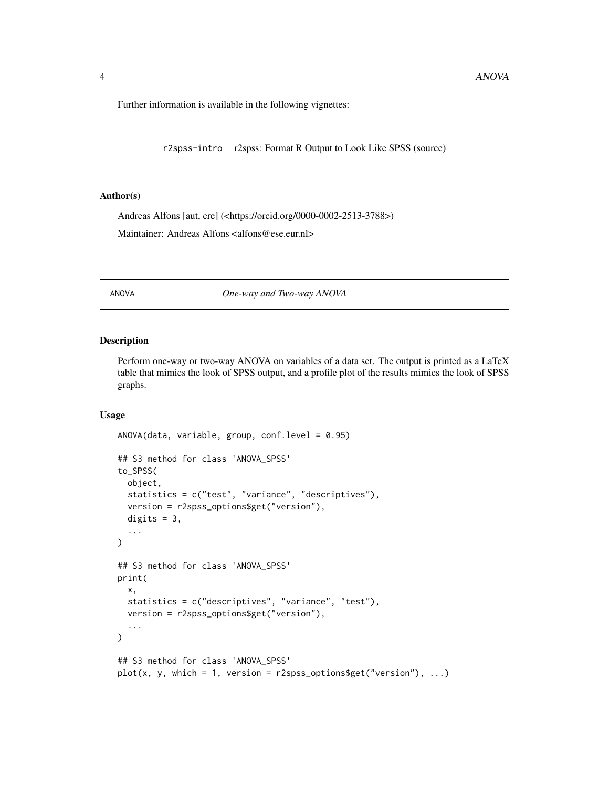<span id="page-3-0"></span>Further information is available in the following vignettes:

r2spss-intro r2spss: Format R Output to Look Like SPSS (source)

# Author(s)

Andreas Alfons [aut, cre] (<https://orcid.org/0000-0002-2513-3788>)

Maintainer: Andreas Alfons <alfons@ese.eur.nl>

# <span id="page-3-1"></span>ANOVA *One-way and Two-way ANOVA*

#### Description

Perform one-way or two-way ANOVA on variables of a data set. The output is printed as a LaTeX table that mimics the look of SPSS output, and a profile plot of the results mimics the look of SPSS graphs.

# Usage

```
ANOVA(data, variable, group, conf.level = 0.95)
## S3 method for class 'ANOVA_SPSS'
to_SPSS(
 object,
  statistics = c("test", "variance", "descriptives"),
  version = r2spss_options$get("version"),
  digits = 3,
  ...
\lambda## S3 method for class 'ANOVA_SPSS'
print(
  x,
  statistics = c("descriptives", "variance", "test"),
  version = r2spss_options$get("version"),
  ...
\lambda## S3 method for class 'ANOVA_SPSS'
plot(x, y, which = 1, version = r2spss_options$get("version"), ...)
```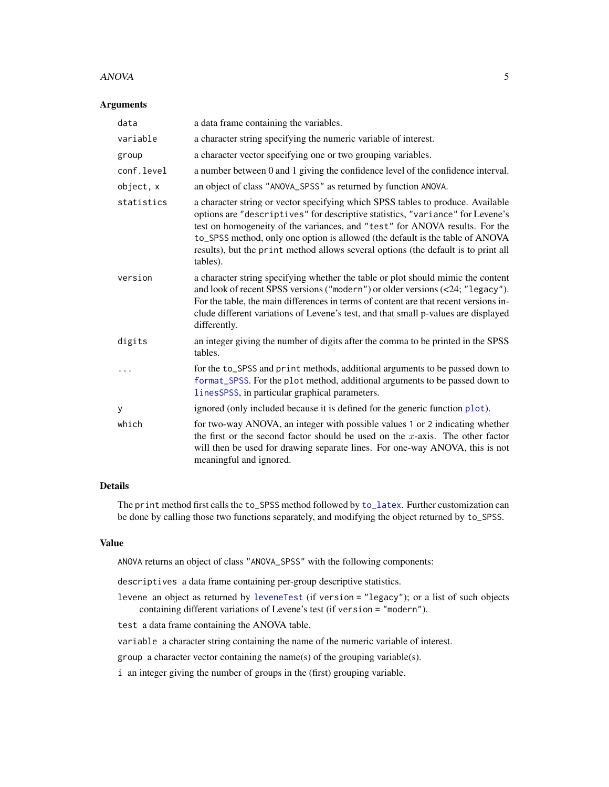#### <span id="page-4-0"></span>ANOVA 5

#### Arguments

| data       | a data frame containing the variables.                                                                                                                                                                                                                                                                                                                                                                                              |
|------------|-------------------------------------------------------------------------------------------------------------------------------------------------------------------------------------------------------------------------------------------------------------------------------------------------------------------------------------------------------------------------------------------------------------------------------------|
| variable   | a character string specifying the numeric variable of interest.                                                                                                                                                                                                                                                                                                                                                                     |
| group      | a character vector specifying one or two grouping variables.                                                                                                                                                                                                                                                                                                                                                                        |
| conf.level | a number between 0 and 1 giving the confidence level of the confidence interval.                                                                                                                                                                                                                                                                                                                                                    |
| object, x  | an object of class "ANOVA_SPSS" as returned by function ANOVA.                                                                                                                                                                                                                                                                                                                                                                      |
| statistics | a character string or vector specifying which SPSS tables to produce. Available<br>options are "descriptives" for descriptive statistics, "variance" for Levene's<br>test on homogeneity of the variances, and "test" for ANOVA results. For the<br>to_SPSS method, only one option is allowed (the default is the table of ANOVA<br>results), but the print method allows several options (the default is to print all<br>tables). |
| version    | a character string specifying whether the table or plot should mimic the content<br>and look of recent SPSS versions ("modern") or older versions (<24; "legacy").<br>For the table, the main differences in terms of content are that recent versions in-<br>clude different variations of Levene's test, and that small p-values are displayed<br>differently.                                                                    |
| digits     | an integer giving the number of digits after the comma to be printed in the SPSS<br>tables.                                                                                                                                                                                                                                                                                                                                         |
|            | for the to_SPSS and print methods, additional arguments to be passed down to<br>format_SPSS. For the plot method, additional arguments to be passed down to<br>linesSPSS, in particular graphical parameters.                                                                                                                                                                                                                       |
| У          | ignored (only included because it is defined for the generic function plot).                                                                                                                                                                                                                                                                                                                                                        |
| which      | for two-way ANOVA, an integer with possible values 1 or 2 indicating whether<br>the first or the second factor should be used on the x-axis. The other factor<br>will then be used for drawing separate lines. For one-way ANOVA, this is not<br>meaningful and ignored.                                                                                                                                                            |

# Details

The print method first calls the to\_SPSS method followed by [to\\_latex](#page-32-1). Further customization can be done by calling those two functions separately, and modifying the object returned by to\_SPSS.

#### Value

ANOVA returns an object of class "ANOVA\_SPSS" with the following components:

descriptives a data frame containing per-group descriptive statistics.

levene an object as returned by [leveneTest](#page-0-0) (if version = "legacy"); or a list of such objects containing different variations of Levene's test (if version = "modern").

test a data frame containing the ANOVA table.

variable a character string containing the name of the numeric variable of interest.

group a character vector containing the name(s) of the grouping variable(s).

i an integer giving the number of groups in the (first) grouping variable.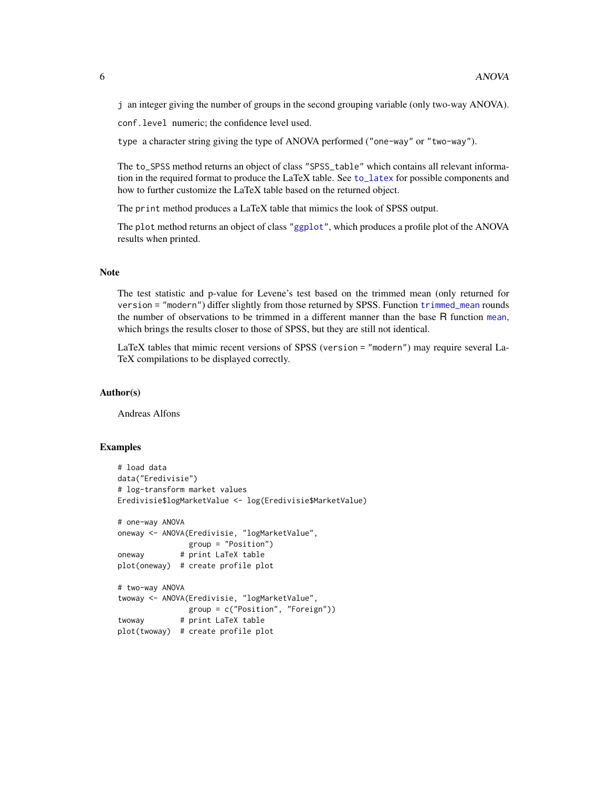<span id="page-5-0"></span>j an integer giving the number of groups in the second grouping variable (only two-way ANOVA).

conf.level numeric; the confidence level used.

type a character string giving the type of ANOVA performed ("one-way" or "two-way").

The to\_SPSS method returns an object of class "SPSS\_table" which contains all relevant information in the required format to produce the LaTeX table. See [to\\_latex](#page-32-1) for possible components and how to further customize the LaTeX table based on the returned object.

The print method produces a LaTeX table that mimics the look of SPSS output.

The plot method returns an object of class ["ggplot"](#page-0-0), which produces a profile plot of the ANOVA results when printed.

#### Note

The test statistic and p-value for Levene's test based on the trimmed mean (only returned for version = "modern") differ slightly from those returned by SPSS. Function [trimmed\\_mean](#page-38-1) rounds the number of observations to be trimmed in a different manner than the base R function [mean](#page-0-0), which brings the results closer to those of SPSS, but they are still not identical.

LaTeX tables that mimic recent versions of SPSS (version = "modern") may require several La-TeX compilations to be displayed correctly.

#### Author(s)

Andreas Alfons

# Examples

```
# load data
data("Eredivisie")
# log-transform market values
Eredivisie$logMarketValue <- log(Eredivisie$MarketValue)
# one-way ANOVA
oneway <- ANOVA(Eredivisie, "logMarketValue",
               group = "Position")
oneway # print LaTeX table
plot(oneway) # create profile plot
# two-way ANOVA
twoway <- ANOVA(Eredivisie, "logMarketValue",
               group = c("Position", "Foreign"))
twoway # print LaTeX table
plot(twoway) # create profile plot
```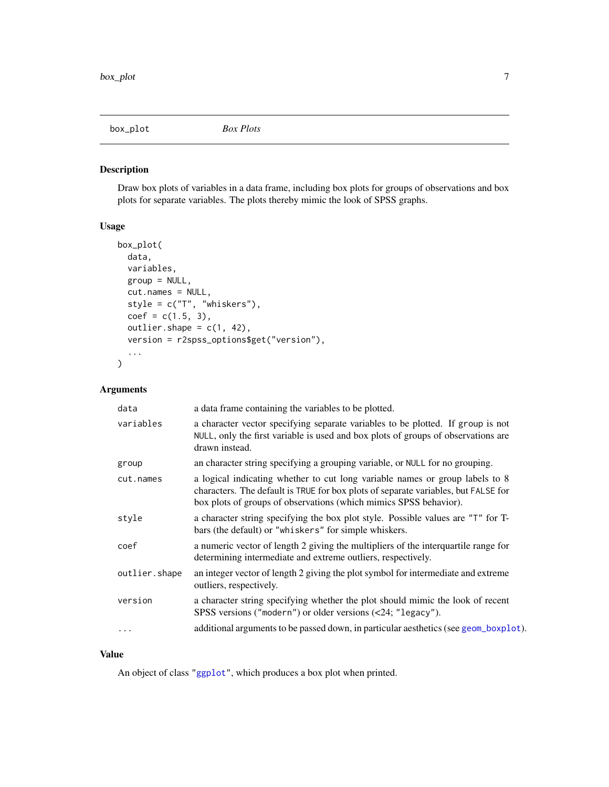<span id="page-6-0"></span>

# Description

Draw box plots of variables in a data frame, including box plots for groups of observations and box plots for separate variables. The plots thereby mimic the look of SPSS graphs.

# Usage

```
box_plot(
  data,
 variables,
 group = NULL,
 cut.names = NULL,
  style = c("T", "whiskers"),
  coef = c(1.5, 3),outlier.shape = c(1, 42),
 version = r2spss_options$get("version"),
  ...
\mathcal{E}
```
# Arguments

| data          | a data frame containing the variables to be plotted.                                                                                                                                                                                    |
|---------------|-----------------------------------------------------------------------------------------------------------------------------------------------------------------------------------------------------------------------------------------|
| variables     | a character vector specifying separate variables to be plotted. If group is not<br>NULL, only the first variable is used and box plots of groups of observations are<br>drawn instead.                                                  |
| group         | an character string specifying a grouping variable, or NULL for no grouping.                                                                                                                                                            |
| cut.names     | a logical indicating whether to cut long variable names or group labels to 8<br>characters. The default is TRUE for box plots of separate variables, but FALSE for<br>box plots of groups of observations (which mimics SPSS behavior). |
| style         | a character string specifying the box plot style. Possible values are "T" for T-<br>bars (the default) or "whiskers" for simple whiskers.                                                                                               |
| coef          | a numeric vector of length 2 giving the multipliers of the interquartile range for<br>determining intermediate and extreme outliers, respectively.                                                                                      |
| outlier.shape | an integer vector of length 2 giving the plot symbol for intermediate and extreme<br>outliers, respectively.                                                                                                                            |
| version       | a character string specifying whether the plot should mimic the look of recent<br>SPSS versions ("modern") or older versions (<24; "legacy").                                                                                           |
| $\cdots$      | additional arguments to be passed down, in particular aesthetics (see geom_boxp1ot).                                                                                                                                                    |

# Value

An object of class ["ggplot"](#page-0-0), which produces a box plot when printed.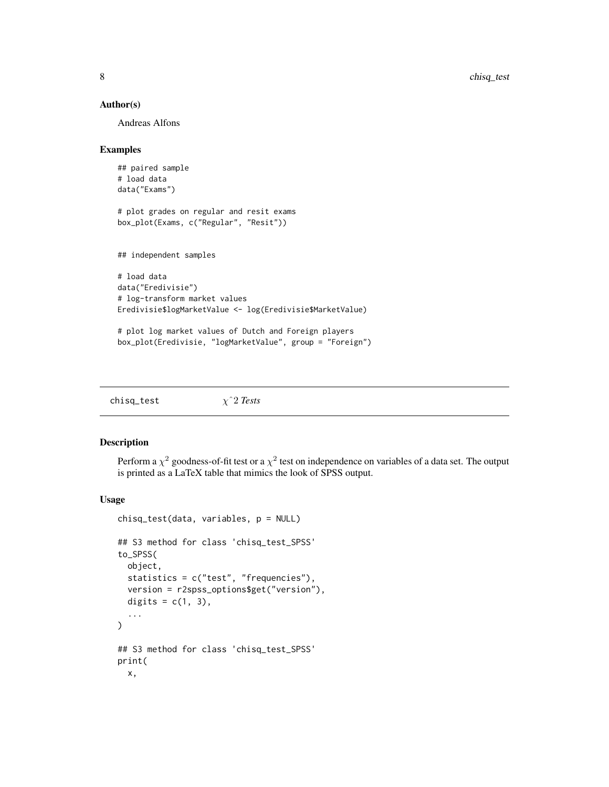#### <span id="page-7-0"></span>Author(s)

Andreas Alfons

#### Examples

```
## paired sample
# load data
data("Exams")
# plot grades on regular and resit exams
box_plot(Exams, c("Regular", "Resit"))
## independent samples
# load data
data("Eredivisie")
# log-transform market values
Eredivisie$logMarketValue <- log(Eredivisie$MarketValue)
# plot log market values of Dutch and Foreign players
```

```
box_plot(Eredivisie, "logMarketValue", group = "Foreign")
```

| $\chi$ <sup>2</sup> Tests<br>chisq_test |
|-----------------------------------------|
|-----------------------------------------|

# Description

Perform a  $\chi^2$  goodness-of-fit test or a  $\chi^2$  test on independence on variables of a data set. The output is printed as a LaTeX table that mimics the look of SPSS output.

#### Usage

```
chisq_test(data, variables, p = NULL)
## S3 method for class 'chisq_test_SPSS'
to_SPSS(
 object,
 statistics = c("test", "frequencies"),
 version = r2spss_options$get("version"),
 digits = c(1, 3),
  ...
\lambda## S3 method for class 'chisq_test_SPSS'
print(
 x,
```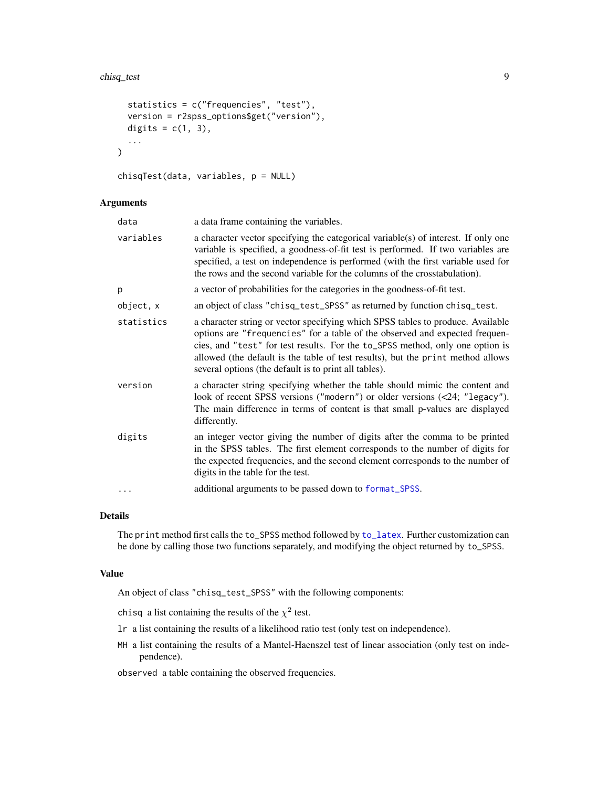#### <span id="page-8-0"></span>chisq\_test 9

```
statistics = c("frequencies", "test"),
  version = r2spss_options$get("version"),
  digits = c(1, 3),
  ...
\mathcal{L}
```

```
chisqTest(data, variables, p = NULL)
```
# Arguments

| data       | a data frame containing the variables.                                                                                                                                                                                                                                                                                                                                                      |
|------------|---------------------------------------------------------------------------------------------------------------------------------------------------------------------------------------------------------------------------------------------------------------------------------------------------------------------------------------------------------------------------------------------|
| variables  | a character vector specifying the categorical variable(s) of interest. If only one<br>variable is specified, a goodness-of-fit test is performed. If two variables are<br>specified, a test on independence is performed (with the first variable used for<br>the rows and the second variable for the columns of the crosstabulation).                                                     |
| p          | a vector of probabilities for the categories in the goodness-of-fit test.                                                                                                                                                                                                                                                                                                                   |
| object, x  | an object of class "chisq_test_SPSS" as returned by function chisq_test.                                                                                                                                                                                                                                                                                                                    |
| statistics | a character string or vector specifying which SPSS tables to produce. Available<br>options are "frequencies" for a table of the observed and expected frequen-<br>cies, and "test" for test results. For the to_SPSS method, only one option is<br>allowed (the default is the table of test results), but the print method allows<br>several options (the default is to print all tables). |
| version    | a character string specifying whether the table should mimic the content and<br>look of recent SPSS versions ("modern") or older versions (<24; "legacy").<br>The main difference in terms of content is that small p-values are displayed<br>differently.                                                                                                                                  |
| digits     | an integer vector giving the number of digits after the comma to be printed<br>in the SPSS tables. The first element corresponds to the number of digits for<br>the expected frequencies, and the second element corresponds to the number of<br>digits in the table for the test.                                                                                                          |
| .          | additional arguments to be passed down to format_SPSS.                                                                                                                                                                                                                                                                                                                                      |

# Details

The print method first calls the to\_SPSS method followed by [to\\_latex](#page-32-1). Further customization can be done by calling those two functions separately, and modifying the object returned by to\_SPSS.

# Value

An object of class "chisq\_test\_SPSS" with the following components:

chisq a list containing the results of the  $\chi^2$  test.

- lr a list containing the results of a likelihood ratio test (only test on independence).
- MH a list containing the results of a Mantel-Haenszel test of linear association (only test on independence).

observed a table containing the observed frequencies.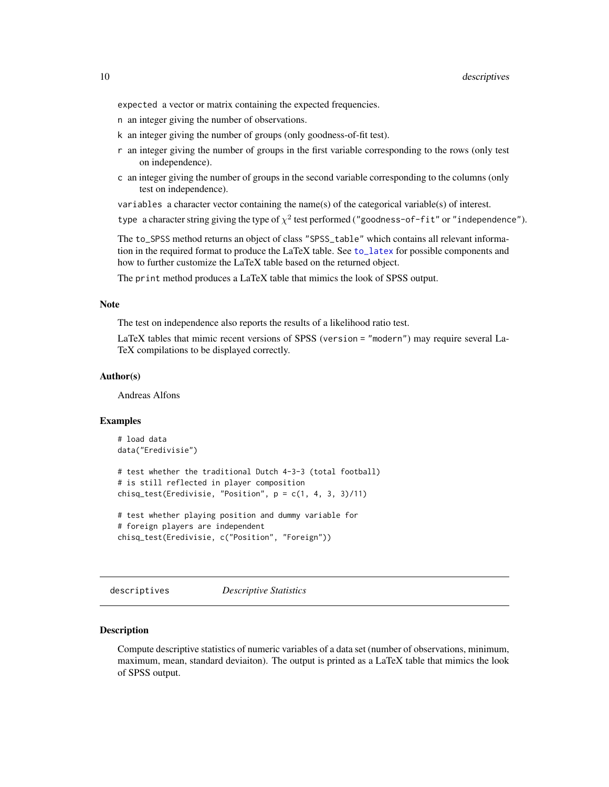<span id="page-9-0"></span>expected a vector or matrix containing the expected frequencies.

- n an integer giving the number of observations.
- k an integer giving the number of groups (only goodness-of-fit test).
- r an integer giving the number of groups in the first variable corresponding to the rows (only test on independence).
- c an integer giving the number of groups in the second variable corresponding to the columns (only test on independence).

variables a character vector containing the name(s) of the categorical variable(s) of interest.

type a character string giving the type of  $\chi^2$  test performed ("goodness-of-fit" or "independence").

The to\_SPSS method returns an object of class "SPSS\_table" which contains all relevant information in the required format to produce the LaTeX table. See [to\\_latex](#page-32-1) for possible components and how to further customize the LaTeX table based on the returned object.

The print method produces a LaTeX table that mimics the look of SPSS output.

#### Note

The test on independence also reports the results of a likelihood ratio test.

LaTeX tables that mimic recent versions of SPSS (version = "modern") may require several La-TeX compilations to be displayed correctly.

# Author(s)

Andreas Alfons

#### Examples

```
# load data
data("Eredivisie")
# test whether the traditional Dutch 4-3-3 (total football)
# is still reflected in player composition
chisq_test(Eredivisie, "Position", p = c(1, 4, 3, 3)/11)
# test whether playing position and dummy variable for
# foreign players are independent
chisq_test(Eredivisie, c("Position", "Foreign"))
```
descriptives *Descriptive Statistics*

#### Description

Compute descriptive statistics of numeric variables of a data set (number of observations, minimum, maximum, mean, standard deviaiton). The output is printed as a LaTeX table that mimics the look of SPSS output.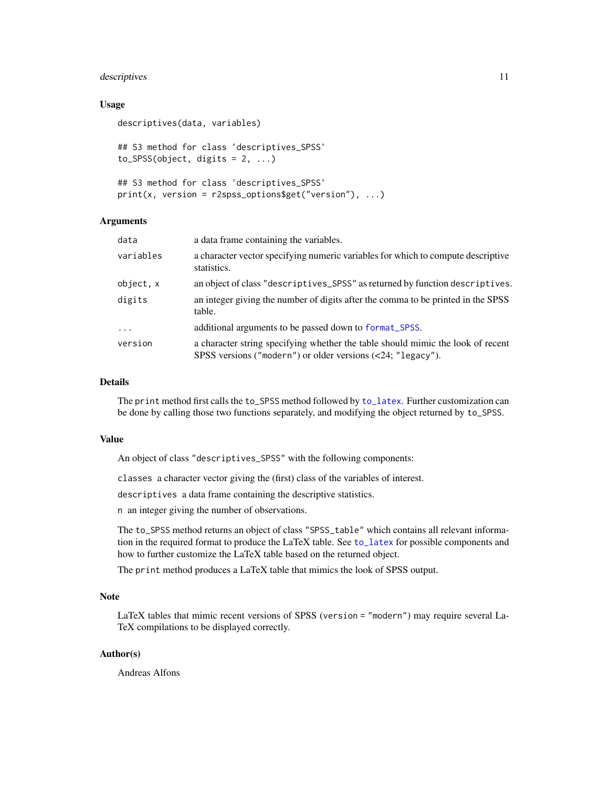# <span id="page-10-0"></span>descriptives that the contract of the contract of the contract of the contract of the contract of the contract of the contract of the contract of the contract of the contract of the contract of the contract of the contract

Arguments

#### Usage

```
descriptives(data, variables)
## S3 method for class 'descriptives_SPSS'
to SPSS(object, digits = 2, ...)
## S3 method for class 'descriptives_SPSS'
```
 $print(x, version = r2spss_options\$ 

| data      | a data frame containing the variables.                                                                                                         |
|-----------|------------------------------------------------------------------------------------------------------------------------------------------------|
| variables | a character vector specifying numeric variables for which to compute descriptive<br>statistics.                                                |
| object, x | an object of class "descriptives_SPSS" as returned by function descriptives.                                                                   |
| digits    | an integer giving the number of digits after the comma to be printed in the SPSS<br>table.                                                     |
| $\ddots$  | additional arguments to be passed down to format_SPSS.                                                                                         |
| version   | a character string specifying whether the table should mimic the look of recent<br>SPSS versions ("modern") or older versions (<24; "legacy"). |

# Details

The print method first calls the to\_SPSS method followed by [to\\_latex](#page-32-1). Further customization can be done by calling those two functions separately, and modifying the object returned by to\_SPSS.

# Value

An object of class "descriptives\_SPSS" with the following components:

classes a character vector giving the (first) class of the variables of interest.

descriptives a data frame containing the descriptive statistics.

n an integer giving the number of observations.

The to\_SPSS method returns an object of class "SPSS\_table" which contains all relevant information in the required format to produce the LaTeX table. See [to\\_latex](#page-32-1) for possible components and how to further customize the LaTeX table based on the returned object.

The print method produces a LaTeX table that mimics the look of SPSS output.

# Note

LaTeX tables that mimic recent versions of SPSS (version = "modern") may require several La-TeX compilations to be displayed correctly.

# Author(s)

Andreas Alfons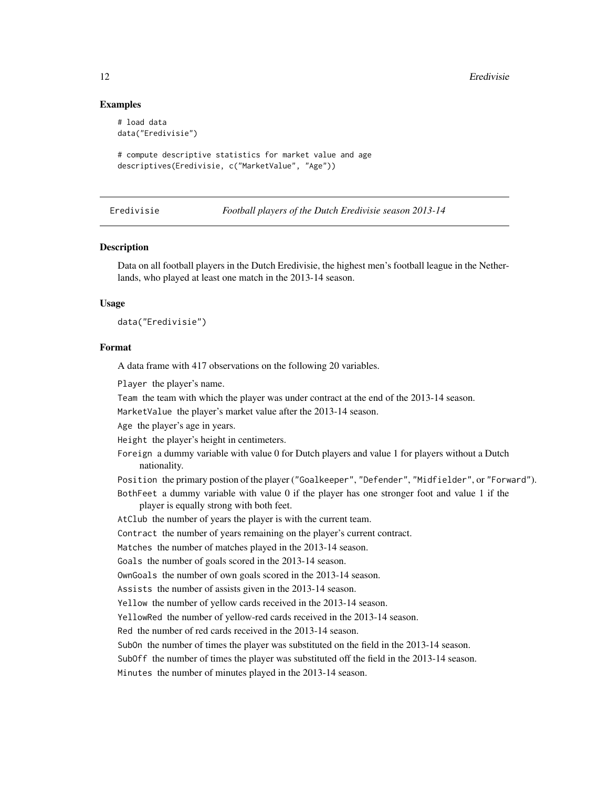# Examples

```
# load data
data("Eredivisie")
```

```
# compute descriptive statistics for market value and age
descriptives(Eredivisie, c("MarketValue", "Age"))
```
Eredivisie *Football players of the Dutch Eredivisie season 2013-14*

# **Description**

Data on all football players in the Dutch Eredivisie, the highest men's football league in the Netherlands, who played at least one match in the 2013-14 season.

#### Usage

data("Eredivisie")

#### Format

A data frame with 417 observations on the following 20 variables.

Player the player's name.

Team the team with which the player was under contract at the end of the 2013-14 season.

MarketValue the player's market value after the 2013-14 season.

Age the player's age in years.

Height the player's height in centimeters.

- Foreign a dummy variable with value 0 for Dutch players and value 1 for players without a Dutch nationality.
- Position the primary postion of the player ("Goalkeeper", "Defender", "Midfielder", or "Forward").

BothFeet a dummy variable with value 0 if the player has one stronger foot and value 1 if the player is equally strong with both feet.

AtClub the number of years the player is with the current team.

Contract the number of years remaining on the player's current contract.

Matches the number of matches played in the 2013-14 season.

Goals the number of goals scored in the 2013-14 season.

OwnGoals the number of own goals scored in the 2013-14 season.

Assists the number of assists given in the 2013-14 season.

Yellow the number of yellow cards received in the 2013-14 season.

YellowRed the number of yellow-red cards received in the 2013-14 season.

Red the number of red cards received in the 2013-14 season.

SubOn the number of times the player was substituted on the field in the 2013-14 season.

SubOff the number of times the player was substituted off the field in the 2013-14 season.

Minutes the number of minutes played in the 2013-14 season.

<span id="page-11-0"></span>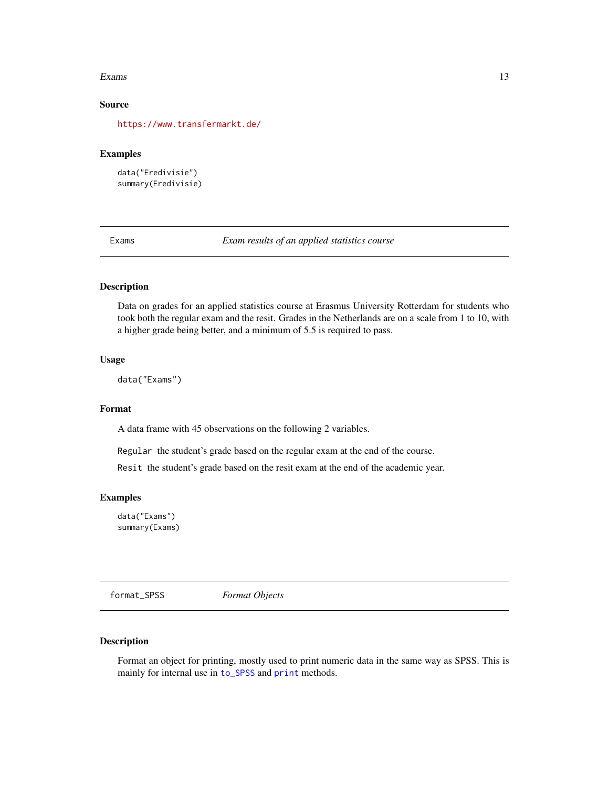#### <span id="page-12-0"></span>Exams and the set of the set of the set of the set of the set of the set of the set of the set of the set of the set of the set of the set of the set of the set of the set of the set of the set of the set of the set of the

# Source

<https://www.transfermarkt.de/>

# Examples

```
data("Eredivisie")
summary(Eredivisie)
```
Exams *Exam results of an applied statistics course*

# Description

Data on grades for an applied statistics course at Erasmus University Rotterdam for students who took both the regular exam and the resit. Grades in the Netherlands are on a scale from 1 to 10, with a higher grade being better, and a minimum of 5.5 is required to pass.

# Usage

data("Exams")

#### Format

A data frame with 45 observations on the following 2 variables.

Regular the student's grade based on the regular exam at the end of the course.

Resit the student's grade based on the resit exam at the end of the academic year.

# Examples

data("Exams") summary(Exams)

<span id="page-12-1"></span>format\_SPSS *Format Objects*

# Description

Format an object for printing, mostly used to print numeric data in the same way as SPSS. This is mainly for internal use in [to\\_SPSS](#page-36-1) and [print](#page-0-0) methods.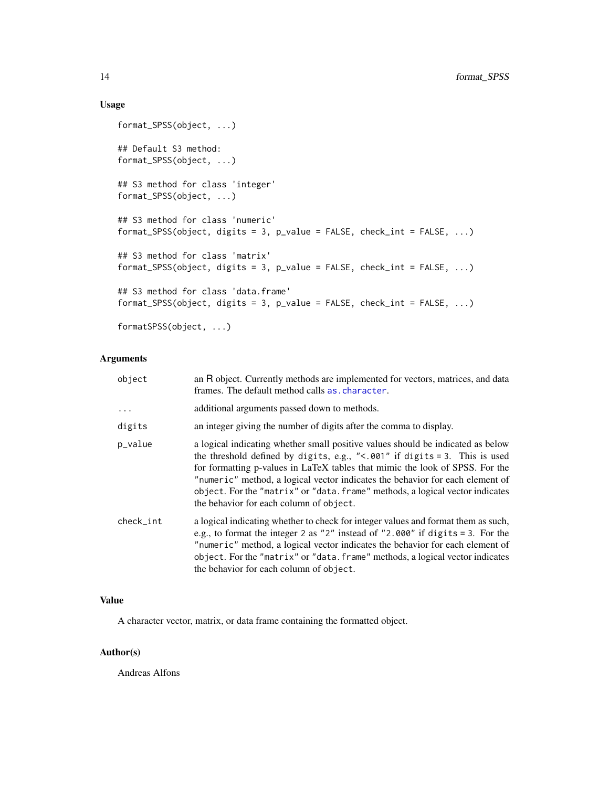# Usage

```
format_SPSS(object, ...)
## Default S3 method:
format_SPSS(object, ...)
## S3 method for class 'integer'
format_SPSS(object, ...)
## S3 method for class 'numeric'
format_SPSS(object, digits = 3, p_value = FALSE, check_int = FALSE, ...)
## S3 method for class 'matrix'
format_SPSS(object, digits = 3, p_value = FALSE, check_int = FALSE, ...)
## S3 method for class 'data.frame'
format_SPSS(object, digits = 3, p_value = FALSE, check_int = FALSE, ...)
```
formatSPSS(object, ...)

# Arguments

| object    | an R object. Currently methods are implemented for vectors, matrices, and data<br>frames. The default method calls as character.                                                                                                                                                                                                                                                                                                                               |
|-----------|----------------------------------------------------------------------------------------------------------------------------------------------------------------------------------------------------------------------------------------------------------------------------------------------------------------------------------------------------------------------------------------------------------------------------------------------------------------|
| $\ddots$  | additional arguments passed down to methods.                                                                                                                                                                                                                                                                                                                                                                                                                   |
| digits    | an integer giving the number of digits after the comma to display.                                                                                                                                                                                                                                                                                                                                                                                             |
| p_value   | a logical indicating whether small positive values should be indicated as below<br>the threshold defined by digits, e.g., "<. $001$ " if digits = 3. This is used<br>for formatting p-values in LaTeX tables that mimic the look of SPSS. For the<br>"numeric" method, a logical vector indicates the behavior for each element of<br>object. For the "matrix" or "data. frame" methods, a logical vector indicates<br>the behavior for each column of object. |
| check_int | a logical indicating whether to check for integer values and format them as such,<br>e.g., to format the integer 2 as "2" instead of "2.000" if digits $=$ 3. For the<br>"numeric" method, a logical vector indicates the behavior for each element of<br>object. For the "matrix" or "data. frame" methods, a logical vector indicates<br>the behavior for each column of object.                                                                             |

# Value

A character vector, matrix, or data frame containing the formatted object.

# Author(s)

Andreas Alfons

<span id="page-13-0"></span>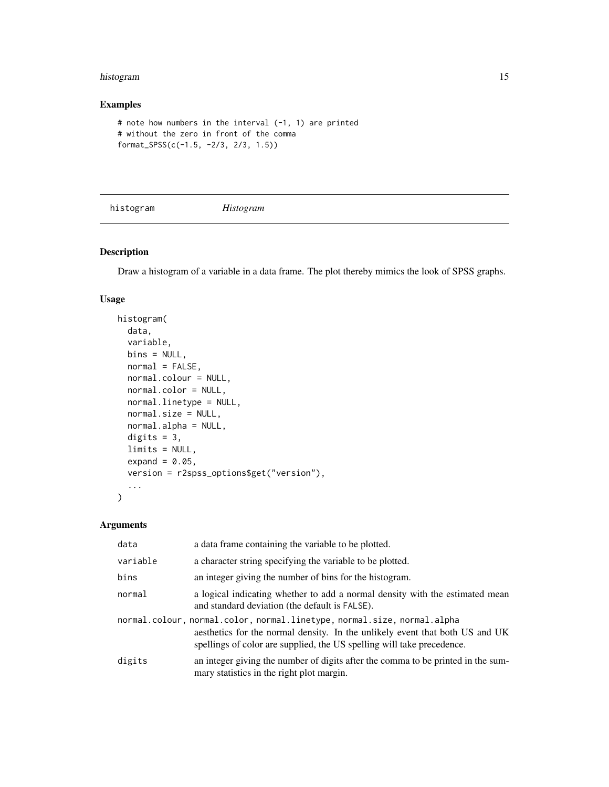#### <span id="page-14-0"></span>histogram 15

# Examples

```
# note how numbers in the interval (-1, 1) are printed
# without the zero in front of the comma
format_SPSS(c(-1.5, -2/3, 2/3, 1.5))
```
histogram *Histogram*

# Description

Draw a histogram of a variable in a data frame. The plot thereby mimics the look of SPSS graphs.

# Usage

```
histogram(
  data,
  variable,
 bins = NULL,
  normal = FALSE,normal.colour = NULL,
 normal.color = NULL,
  normal.linetype = NULL,
  normal.size = NULL,
  normal.alpha = NULL,
  digits = 3,
  limits = NULL,
  expand = 0.05,
  version = r2spss_options$get("version"),
  ...
\mathcal{L}
```
# Arguments

| data     | a data frame containing the variable to be plotted.                                                                                                                                                                               |
|----------|-----------------------------------------------------------------------------------------------------------------------------------------------------------------------------------------------------------------------------------|
| variable | a character string specifying the variable to be plotted.                                                                                                                                                                         |
| bins     | an integer giving the number of bins for the histogram.                                                                                                                                                                           |
| normal   | a logical indicating whether to add a normal density with the estimated mean<br>and standard deviation (the default is FALSE).                                                                                                    |
|          | normal.colour, normal.color, normal.linetype, normal.size, normal.alpha<br>aesthetics for the normal density. In the unlikely event that both US and UK<br>spellings of color are supplied, the US spelling will take precedence. |
| digits   | an integer giving the number of digits after the comma to be printed in the sum-<br>mary statistics in the right plot margin.                                                                                                     |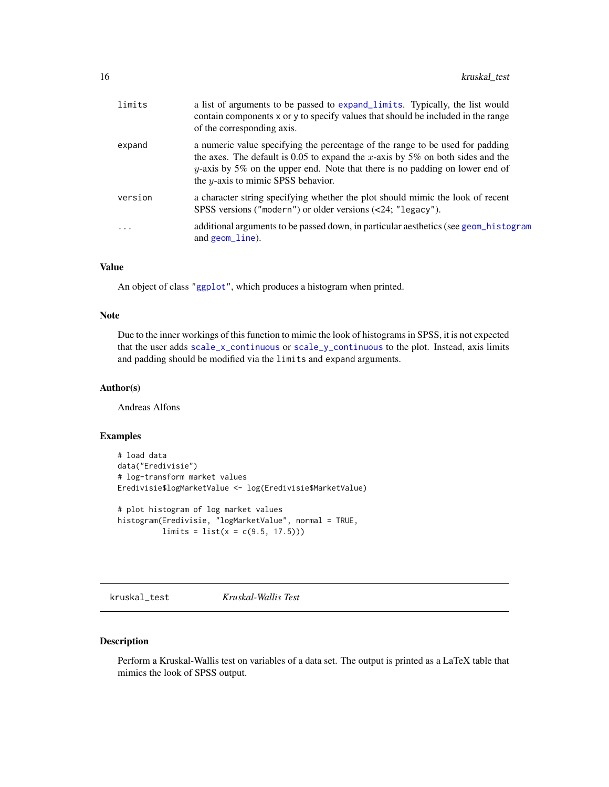<span id="page-15-0"></span>

| a numeric value specifying the percentage of the range to be used for padding<br>expand<br>the axes. The default is 0.05 to expand the x-axis by 5% on both sides and the<br>y-axis by 5% on the upper end. Note that there is no padding on lower end of<br>the $y$ -axis to mimic SPSS behavior.<br>a character string specifying whether the plot should mimic the look of recent<br>version<br>SPSS versions ("modern") or older versions (<24; "legacy").<br>.<br>and geom_line). | limits | a list of arguments to be passed to expand_limits. Typically, the list would<br>contain components x or y to specify values that should be included in the range<br>of the corresponding axis. |
|----------------------------------------------------------------------------------------------------------------------------------------------------------------------------------------------------------------------------------------------------------------------------------------------------------------------------------------------------------------------------------------------------------------------------------------------------------------------------------------|--------|------------------------------------------------------------------------------------------------------------------------------------------------------------------------------------------------|
|                                                                                                                                                                                                                                                                                                                                                                                                                                                                                        |        |                                                                                                                                                                                                |
|                                                                                                                                                                                                                                                                                                                                                                                                                                                                                        |        |                                                                                                                                                                                                |
|                                                                                                                                                                                                                                                                                                                                                                                                                                                                                        |        | additional arguments to be passed down, in particular aesthetics (see geom_histogram                                                                                                           |

# Value

An object of class ["ggplot"](#page-0-0), which produces a histogram when printed.

#### Note

Due to the inner workings of this function to mimic the look of histograms in SPSS, it is not expected that the user adds [scale\\_x\\_continuous](#page-0-0) or [scale\\_y\\_continuous](#page-0-0) to the plot. Instead, axis limits and padding should be modified via the limits and expand arguments.

# Author(s)

Andreas Alfons

# Examples

```
# load data
data("Eredivisie")
# log-transform market values
Eredivisie$logMarketValue <- log(Eredivisie$MarketValue)
# plot histogram of log market values
histogram(Eredivisie, "logMarketValue", normal = TRUE,
         limits = list(x = c(9.5, 17.5)))
```
kruskal\_test *Kruskal-Wallis Test*

# Description

Perform a Kruskal-Wallis test on variables of a data set. The output is printed as a LaTeX table that mimics the look of SPSS output.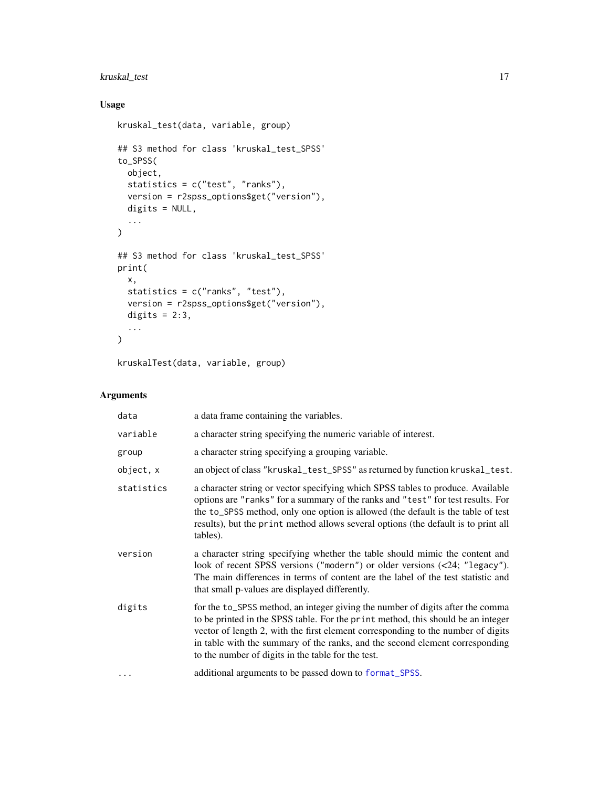# <span id="page-16-0"></span>kruskal\_test 17

# Usage

```
kruskal_test(data, variable, group)
## S3 method for class 'kruskal_test_SPSS'
to_SPSS(
 object,
 statistics = c("test", "ranks"),
 version = r2spss_options$get("version"),
 digits = NULL,
  ...
\mathcal{L}## S3 method for class 'kruskal_test_SPSS'
print(
 x,
 statistics = c("ranks", "test"),
 version = r2spss_options$get("version"),
 digits = 2:3,
  ...
\mathcal{L}
```
kruskalTest(data, variable, group)

# Arguments

| data       | a data frame containing the variables.                                                                                                                                                                                                                                                                                                                                                       |
|------------|----------------------------------------------------------------------------------------------------------------------------------------------------------------------------------------------------------------------------------------------------------------------------------------------------------------------------------------------------------------------------------------------|
| variable   | a character string specifying the numeric variable of interest.                                                                                                                                                                                                                                                                                                                              |
| group      | a character string specifying a grouping variable.                                                                                                                                                                                                                                                                                                                                           |
| object, x  | an object of class "kruskal_test_SPSS" as returned by function kruskal_test.                                                                                                                                                                                                                                                                                                                 |
| statistics | a character string or vector specifying which SPSS tables to produce. Available<br>options are "ranks" for a summary of the ranks and "test" for test results. For<br>the to_SPSS method, only one option is allowed (the default is the table of test<br>results), but the print method allows several options (the default is to print all<br>tables).                                     |
| version    | a character string specifying whether the table should mimic the content and<br>look of recent SPSS versions ("modern") or older versions (<24; "legacy").<br>The main differences in terms of content are the label of the test statistic and<br>that small p-values are displayed differently.                                                                                             |
| digits     | for the to_SPSS method, an integer giving the number of digits after the comma<br>to be printed in the SPSS table. For the print method, this should be an integer<br>vector of length 2, with the first element corresponding to the number of digits<br>in table with the summary of the ranks, and the second element corresponding<br>to the number of digits in the table for the test. |
| $\cdots$   | additional arguments to be passed down to format_SPSS.                                                                                                                                                                                                                                                                                                                                       |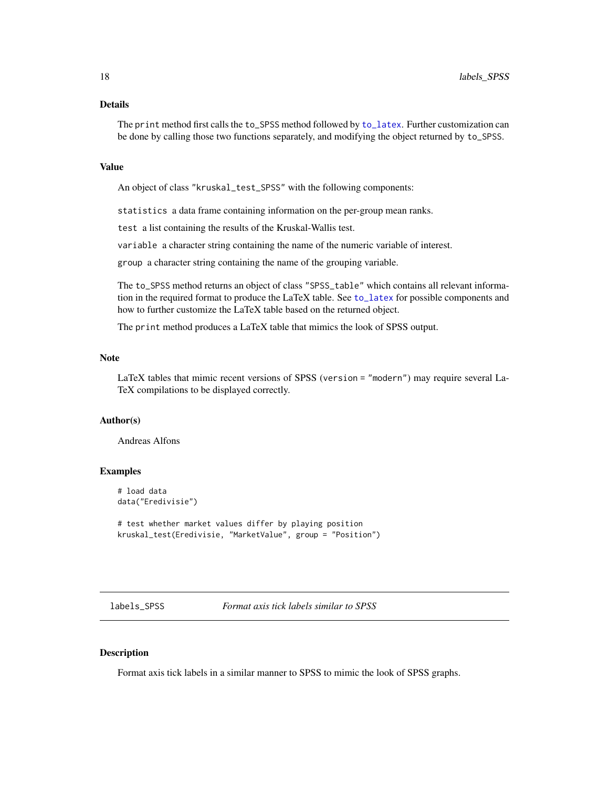# <span id="page-17-0"></span>Details

The print method first calls the to\_SPSS method followed by [to\\_latex](#page-32-1). Further customization can be done by calling those two functions separately, and modifying the object returned by to\_SPSS.

#### Value

An object of class "kruskal\_test\_SPSS" with the following components:

statistics a data frame containing information on the per-group mean ranks.

test a list containing the results of the Kruskal-Wallis test.

variable a character string containing the name of the numeric variable of interest.

group a character string containing the name of the grouping variable.

The to\_SPSS method returns an object of class "SPSS\_table" which contains all relevant information in the required format to produce the LaTeX table. See [to\\_latex](#page-32-1) for possible components and how to further customize the LaTeX table based on the returned object.

The print method produces a LaTeX table that mimics the look of SPSS output.

#### **Note**

LaTeX tables that mimic recent versions of SPSS (version = "modern") may require several La-TeX compilations to be displayed correctly.

# Author(s)

Andreas Alfons

#### Examples

```
# load data
data("Eredivisie")
```

```
# test whether market values differ by playing position
kruskal_test(Eredivisie, "MarketValue", group = "Position")
```
labels\_SPSS *Format axis tick labels similar to SPSS*

#### Description

Format axis tick labels in a similar manner to SPSS to mimic the look of SPSS graphs.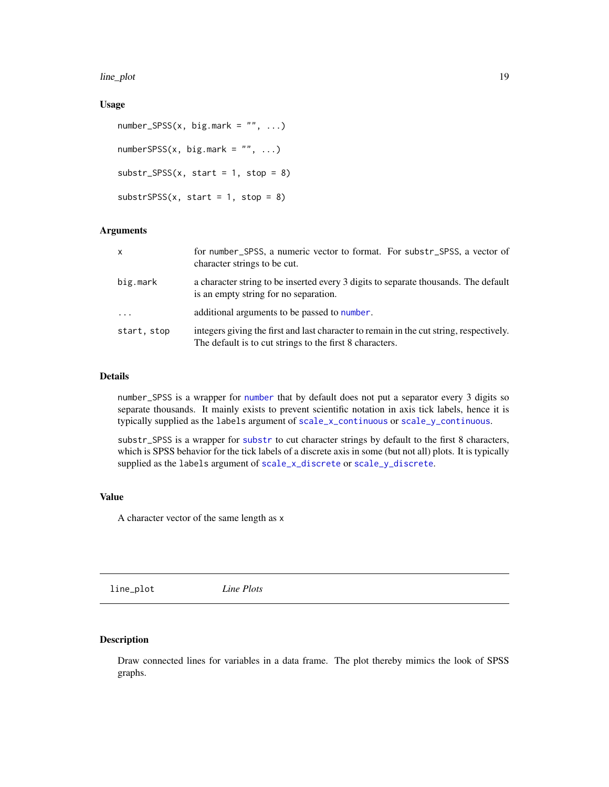<span id="page-18-0"></span>line\_plot 19

#### Usage

```
number\_SPSS(x, big.maxk = "", ...)numberSPSS(x, big.maxk = "", ...)substr\_SPSS(x, start = 1, stop = 8)substrSPSS(x, start = 1, stop = 8)
```
# Arguments

| $\mathsf{x}$ | for number_SPSS, a numeric vector to format. For substr_SPSS, a vector of<br>character strings to be cut.                                           |
|--------------|-----------------------------------------------------------------------------------------------------------------------------------------------------|
| big.mark     | a character string to be inserted every 3 digits to separate thousands. The default<br>is an empty string for no separation.                        |
| $\cdot$      | additional arguments to be passed to number.                                                                                                        |
| start, stop  | integers giving the first and last character to remain in the cut string, respectively.<br>The default is to cut strings to the first 8 characters. |

# Details

number\_SPSS is a wrapper for [number](#page-0-0) that by default does not put a separator every 3 digits so separate thousands. It mainly exists to prevent scientific notation in axis tick labels, hence it is typically supplied as the labels argument of [scale\\_x\\_continuous](#page-0-0) or [scale\\_y\\_continuous](#page-0-0).

substr\_SPSS is a wrapper for [substr](#page-0-0) to cut character strings by default to the first 8 characters, which is SPSS behavior for the tick labels of a discrete axis in some (but not all) plots. It is typically supplied as the labels argument of [scale\\_x\\_discrete](#page-0-0) or [scale\\_y\\_discrete](#page-0-0).

# Value

A character vector of the same length as x

line\_plot *Line Plots*

# Description

Draw connected lines for variables in a data frame. The plot thereby mimics the look of SPSS graphs.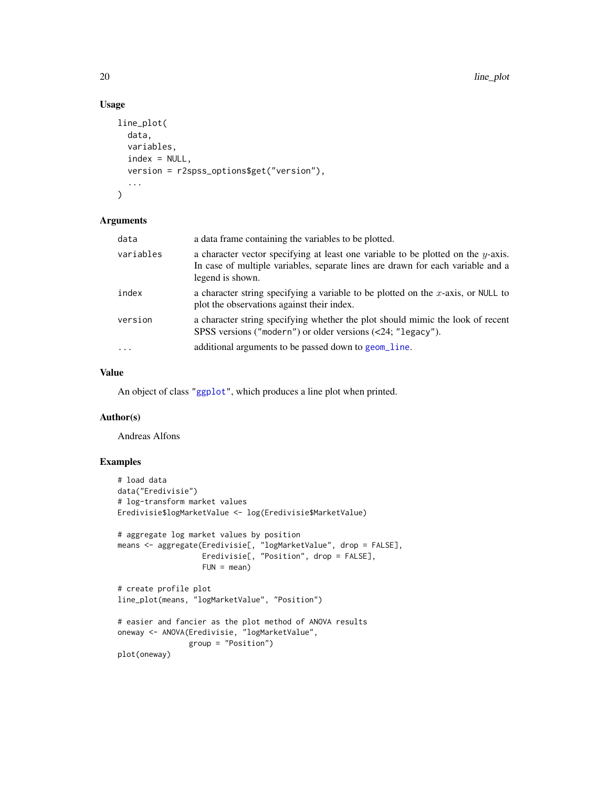# Usage

```
line_plot(
  data,
  variables,
  index = NULL,
  version = r2spss_options$get("version"),
  ...
\mathcal{L}
```
# Arguments

| data      | a data frame containing the variables to be plotted.                                                                                                                                    |
|-----------|-----------------------------------------------------------------------------------------------------------------------------------------------------------------------------------------|
| variables | a character vector specifying at least one variable to be plotted on the y-axis.<br>In case of multiple variables, separate lines are drawn for each variable and a<br>legend is shown. |
| index     | a character string specifying a variable to be plotted on the $x$ -axis, or NULL to<br>plot the observations against their index.                                                       |
| version   | a character string specifying whether the plot should mimic the look of recent<br>SPSS versions ("modern") or older versions (<24; "legacy").                                           |
| $\cdots$  | additional arguments to be passed down to geom_line.                                                                                                                                    |

# Value

An object of class ["ggplot"](#page-0-0), which produces a line plot when printed.

# Author(s)

Andreas Alfons

### Examples

```
# load data
data("Eredivisie")
# log-transform market values
Eredivisie$logMarketValue <- log(Eredivisie$MarketValue)
# aggregate log market values by position
means <- aggregate(Eredivisie[, "logMarketValue", drop = FALSE],
                   Eredivisie[, "Position", drop = FALSE],
                  FUN = mean)# create profile plot
line_plot(means, "logMarketValue", "Position")
# easier and fancier as the plot method of ANOVA results
oneway <- ANOVA(Eredivisie, "logMarketValue",
               group = "Position")
plot(oneway)
```
<span id="page-19-0"></span>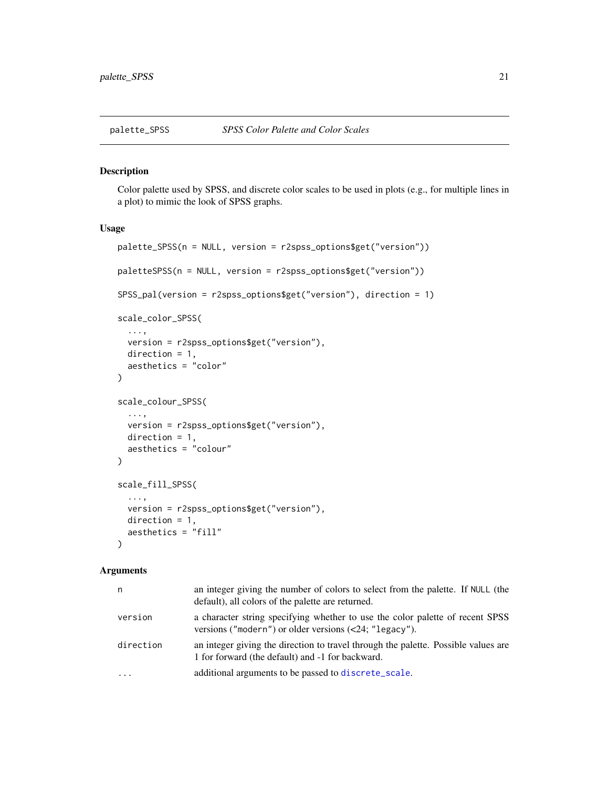<span id="page-20-0"></span>

# Description

Color palette used by SPSS, and discrete color scales to be used in plots (e.g., for multiple lines in a plot) to mimic the look of SPSS graphs.

# Usage

```
palette_SPSS(n = NULL, version = r2spss_options$get("version"))
paletteSPSS(n = NULL, version = r2spss_options$get("version"))
SPSS_pal(version = r2spss_options$get("version"), direction = 1)
scale_color_SPSS(
  ...,
 version = r2spss_options$get("version"),
 direction = 1,
 aesthetics = "color"
)
scale_colour_SPSS(
  ...,
 version = r2spss_options$get("version"),
 direction = 1,
 aesthetics = "colour"
)
scale_fill_SPSS(
  ...,
  version = r2spss_options$get("version"),
 direction = 1,
 aesthetics = "fill"
)
```
#### Arguments

| n         | an integer giving the number of colors to select from the palette. If NULL (the<br>default), all colors of the palette are returned.             |
|-----------|--------------------------------------------------------------------------------------------------------------------------------------------------|
| version   | a character string specifying whether to use the color palette of recent SPSS<br>versions ("modern") or older versions $(\langle 24;$ "legacy"). |
| direction | an integer giving the direction to travel through the palette. Possible values are<br>1 for forward (the default) and -1 for backward.           |
| $\cdots$  | additional arguments to be passed to discrete_scale.                                                                                             |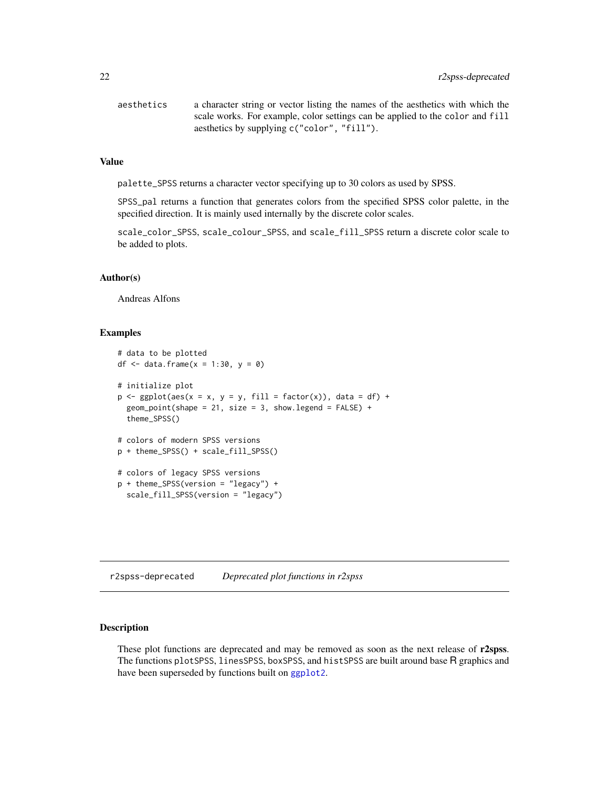<span id="page-21-0"></span>

| aesthetics | a character string or vector listing the names of the aesthetics with which the |
|------------|---------------------------------------------------------------------------------|
|            | scale works. For example, color settings can be applied to the color and fill   |
|            | aesthetics by supplying c("color", "fill").                                     |

#### Value

palette\_SPSS returns a character vector specifying up to 30 colors as used by SPSS.

SPSS\_pal returns a function that generates colors from the specified SPSS color palette, in the specified direction. It is mainly used internally by the discrete color scales.

scale\_color\_SPSS, scale\_colour\_SPSS, and scale\_fill\_SPSS return a discrete color scale to be added to plots.

#### Author(s)

Andreas Alfons

#### Examples

```
# data to be plotted
df \le data.frame(x = 1:30, y = 0)
# initialize plot
p \leftarrow \text{ggplot(aes(x = x, y = y, fill = factor(x)), data = df) + }geom_point(shape = 21, size = 3, show.legend = FALSE) +
  theme_SPSS()
# colors of modern SPSS versions
p + theme_SPSS() + scale_fill_SPSS()
# colors of legacy SPSS versions
p + theme_SPSS(version = "legacy") +
  scale_fill_SPSS(version = "legacy")
```
r2spss-deprecated *Deprecated plot functions in r2spss*

# <span id="page-21-1"></span>Description

These plot functions are deprecated and may be removed as soon as the next release of r2spss. The functions plotSPSS, linesSPSS, boxSPSS, and histSPSS are built around base R graphics and have been superseded by functions built on [ggplot2](#page-0-0).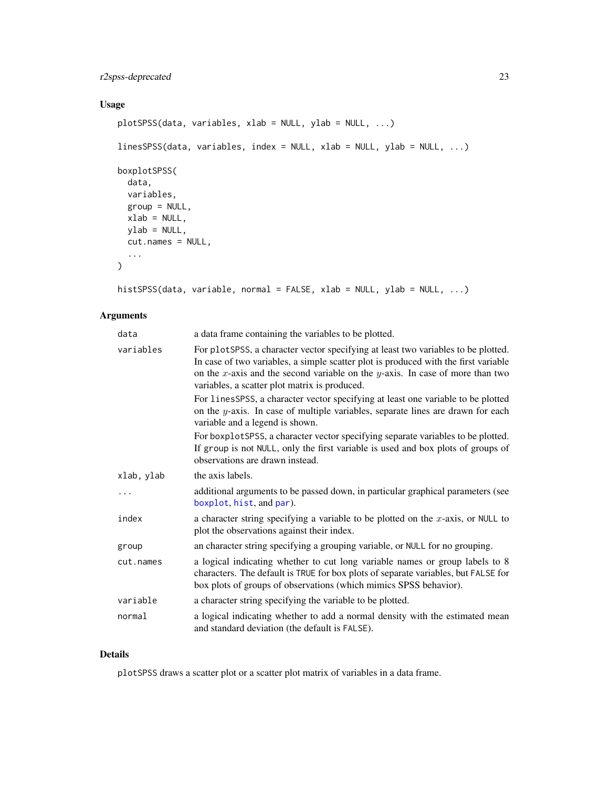# <span id="page-22-0"></span>r2spss-deprecated 23

# Usage

```
plotSPSS(data, variables, xlab = NULL, ylab = NULL, ...)
linesSPSS(data, variables, index = NULL, xlab = NULL, ylab = NULL, ...)
boxplotSPSS(
  data,
 variables,
 group = NULL,
 xlab = NULL,ylab = NULL,
 cut.names = NULL,
  ...
\mathcal{L}
```
histSPSS(data, variable, normal = FALSE, xlab = NULL, ylab = NULL, ...)

# Arguments

| data       | a data frame containing the variables to be plotted.                                                                                                                                                                                                                                                        |
|------------|-------------------------------------------------------------------------------------------------------------------------------------------------------------------------------------------------------------------------------------------------------------------------------------------------------------|
| variables  | For plots PSS, a character vector specifying at least two variables to be plotted.<br>In case of two variables, a simple scatter plot is produced with the first variable<br>on the x-axis and the second variable on the y-axis. In case of more than two<br>variables, a scatter plot matrix is produced. |
|            | For linesSPSS, a character vector specifying at least one variable to be plotted<br>on the $y$ -axis. In case of multiple variables, separate lines are drawn for each<br>variable and a legend is shown.                                                                                                   |
|            | For boxplotSPSS, a character vector specifying separate variables to be plotted.<br>If group is not NULL, only the first variable is used and box plots of groups of<br>observations are drawn instead.                                                                                                     |
| xlab, ylab | the axis labels.                                                                                                                                                                                                                                                                                            |
|            | additional arguments to be passed down, in particular graphical parameters (see<br>boxplot, hist, and par).                                                                                                                                                                                                 |
| index      | a character string specifying a variable to be plotted on the $x$ -axis, or NULL to<br>plot the observations against their index.                                                                                                                                                                           |
| group      | an character string specifying a grouping variable, or NULL for no grouping.                                                                                                                                                                                                                                |
| cut.names  | a logical indicating whether to cut long variable names or group labels to 8<br>characters. The default is TRUE for box plots of separate variables, but FALSE for<br>box plots of groups of observations (which mimics SPSS behavior).                                                                     |
| variable   | a character string specifying the variable to be plotted.                                                                                                                                                                                                                                                   |
| normal     | a logical indicating whether to add a normal density with the estimated mean<br>and standard deviation (the default is FALSE).                                                                                                                                                                              |

# Details

plotSPSS draws a scatter plot or a scatter plot matrix of variables in a data frame.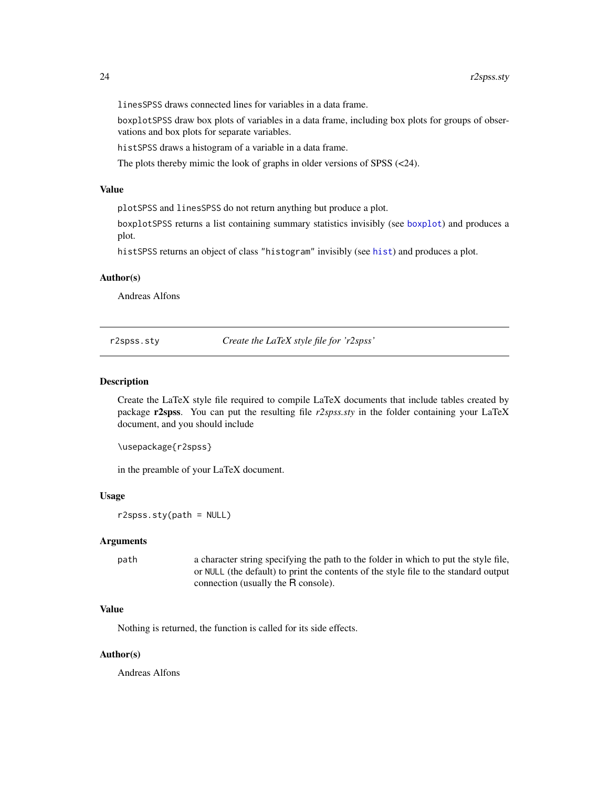<span id="page-23-0"></span>linesSPSS draws connected lines for variables in a data frame.

boxplotSPSS draw box plots of variables in a data frame, including box plots for groups of observations and box plots for separate variables.

histSPSS draws a histogram of a variable in a data frame.

The plots thereby mimic the look of graphs in older versions of SPSS (<24).

#### Value

plotSPSS and linesSPSS do not return anything but produce a plot.

boxplotSPSS returns a list containing summary statistics invisibly (see [boxplot](#page-0-0)) and produces a plot.

histSPSS returns an object of class "histogram" invisibly (see [hist](#page-0-0)) and produces a plot.

# Author(s)

Andreas Alfons

r2spss.sty *Create the LaTeX style file for 'r2spss'*

#### Description

Create the LaTeX style file required to compile LaTeX documents that include tables created by package r2spss. You can put the resulting file *r2spss.sty* in the folder containing your LaTeX document, and you should include

\usepackage{r2spss}

in the preamble of your LaTeX document.

#### Usage

r2spss.sty(path = NULL)

# Arguments

path a character string specifying the path to the folder in which to put the style file, or NULL (the default) to print the contents of the style file to the standard output connection (usually the R console).

# Value

Nothing is returned, the function is called for its side effects.

#### Author(s)

Andreas Alfons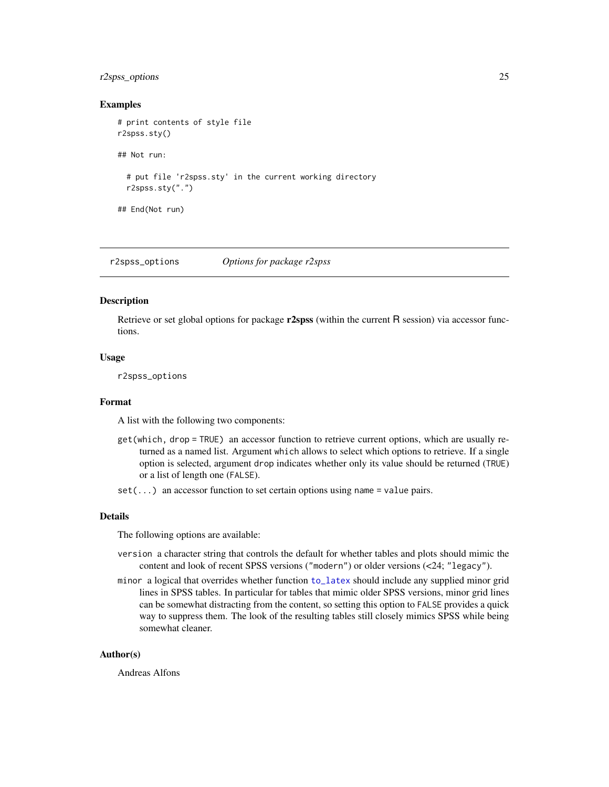# <span id="page-24-0"></span>r2spss\_options 25

#### Examples

```
# print contents of style file
r2spss.sty()
## Not run:
 # put file 'r2spss.sty' in the current working directory
 r2spss.sty(".")
## End(Not run)
```
<span id="page-24-1"></span>r2spss\_options *Options for package r2spss*

# Description

Retrieve or set global options for package  $r2spss$  (within the current R session) via accessor functions.

## Usage

r2spss\_options

# Format

A list with the following two components:

- get(which, drop = TRUE) an accessor function to retrieve current options, which are usually returned as a named list. Argument which allows to select which options to retrieve. If a single option is selected, argument drop indicates whether only its value should be returned (TRUE) or a list of length one (FALSE).
- $set(...)$  an accessor function to set certain options using name = value pairs.

#### Details

The following options are available:

- version a character string that controls the default for whether tables and plots should mimic the content and look of recent SPSS versions ("modern") or older versions (<24; "legacy").
- minor a logical that overrides whether function [to\\_latex](#page-32-1) should include any supplied minor grid lines in SPSS tables. In particular for tables that mimic older SPSS versions, minor grid lines can be somewhat distracting from the content, so setting this option to FALSE provides a quick way to suppress them. The look of the resulting tables still closely mimics SPSS while being somewhat cleaner.

#### Author(s)

Andreas Alfons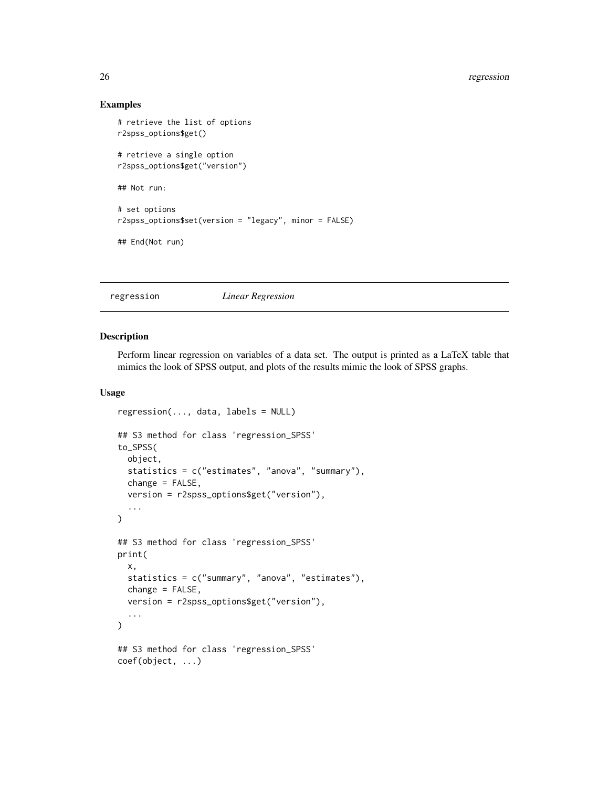# <span id="page-25-0"></span>26 regression

#### Examples

```
# retrieve the list of options
r2spss_options$get()
# retrieve a single option
r2spss_options$get("version")
## Not run:
# set options
r2spss_options$set(version = "legacy", minor = FALSE)
## End(Not run)
```
# regression *Linear Regression*

#### Description

Perform linear regression on variables of a data set. The output is printed as a LaTeX table that mimics the look of SPSS output, and plots of the results mimic the look of SPSS graphs.

#### Usage

```
regression(..., data, labels = NULL)
## S3 method for class 'regression_SPSS'
to_SPSS(
 object,
  statistics = c("estimates", "anova", "summary"),
  change = FALSE,version = r2spss_options$get("version"),
  ...
)
## S3 method for class 'regression_SPSS'
print(
  x,
  statistics = c("summary", "anova", "estimates"),
  change = FALSE,version = r2spss_options$get("version"),
  ...
)
## S3 method for class 'regression_SPSS'
coef(object, ...)
```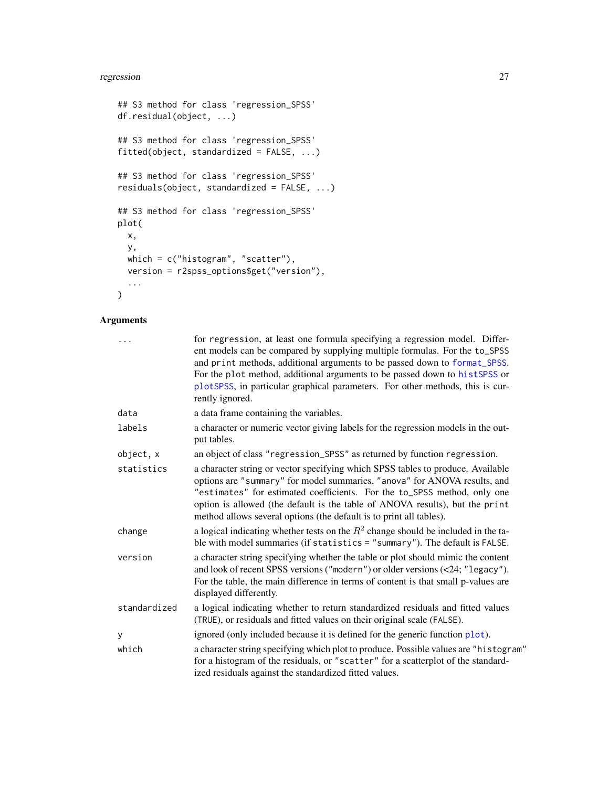# <span id="page-26-0"></span>regression 27

```
## S3 method for class 'regression_SPSS'
df.residual(object, ...)
## S3 method for class 'regression_SPSS'
fitted(object, standardized = FALSE, ...)
## S3 method for class 'regression_SPSS'
residuals(object, standardized = FALSE, ...)
## S3 method for class 'regression_SPSS'
plot(
 x,
 y,
 which = c("histogram", "scatter"),
 version = r2spss_options$get("version"),
  ...
\mathcal{L}
```
# Arguments

| .            | for regression, at least one formula specifying a regression model. Differ-<br>ent models can be compared by supplying multiple formulas. For the to_SPSS<br>and print methods, additional arguments to be passed down to format_SPSS.<br>For the plot method, additional arguments to be passed down to histSPSS or<br>plotSPSS, in particular graphical parameters. For other methods, this is cur-<br>rently ignored. |
|--------------|--------------------------------------------------------------------------------------------------------------------------------------------------------------------------------------------------------------------------------------------------------------------------------------------------------------------------------------------------------------------------------------------------------------------------|
| data         | a data frame containing the variables.                                                                                                                                                                                                                                                                                                                                                                                   |
| labels       | a character or numeric vector giving labels for the regression models in the out-<br>put tables.                                                                                                                                                                                                                                                                                                                         |
| object, x    | an object of class "regression_SPSS" as returned by function regression.                                                                                                                                                                                                                                                                                                                                                 |
| statistics   | a character string or vector specifying which SPSS tables to produce. Available<br>options are "summary" for model summaries, "anova" for ANOVA results, and<br>"estimates" for estimated coefficients. For the to_SPSS method, only one<br>option is allowed (the default is the table of ANOVA results), but the print<br>method allows several options (the default is to print all tables).                          |
| change       | a logical indicating whether tests on the $R^2$ change should be included in the ta-<br>ble with model summaries (if statistics = "summary"). The default is FALSE.                                                                                                                                                                                                                                                      |
| version      | a character string specifying whether the table or plot should mimic the content<br>and look of recent SPSS versions ("modern") or older versions (<24; "legacy").<br>For the table, the main difference in terms of content is that small p-values are<br>displayed differently.                                                                                                                                        |
| standardized | a logical indicating whether to return standardized residuals and fitted values<br>(TRUE), or residuals and fitted values on their original scale (FALSE).                                                                                                                                                                                                                                                               |
| У            | ignored (only included because it is defined for the generic function plot).                                                                                                                                                                                                                                                                                                                                             |
| which        | a character string specifying which plot to produce. Possible values are "histogram"<br>for a histogram of the residuals, or "scatter" for a scatterplot of the standard-<br>ized residuals against the standardized fitted values.                                                                                                                                                                                      |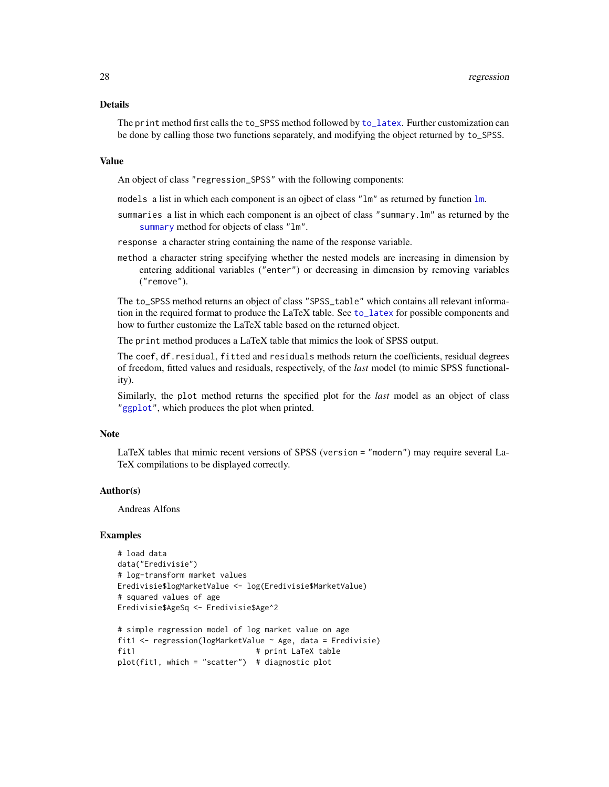# <span id="page-27-0"></span>Details

The print method first calls the to\_SPSS method followed by [to\\_latex](#page-32-1). Further customization can be done by calling those two functions separately, and modifying the object returned by to\_SPSS.

#### Value

An object of class "regression\_SPSS" with the following components:

- models a list in which each component is an ojbect of class "lm" as returned by function [lm](#page-0-0).
- summaries a list in which each component is an ojbect of class "summary.lm" as returned by the [summary](#page-0-0) method for objects of class "1m".

response a character string containing the name of the response variable.

method a character string specifying whether the nested models are increasing in dimension by entering additional variables ("enter") or decreasing in dimension by removing variables ("remove").

The to\_SPSS method returns an object of class "SPSS\_table" which contains all relevant information in the required format to produce the LaTeX table. See [to\\_latex](#page-32-1) for possible components and how to further customize the LaTeX table based on the returned object.

The print method produces a LaTeX table that mimics the look of SPSS output.

The coef, df.residual, fitted and residuals methods return the coefficients, residual degrees of freedom, fitted values and residuals, respectively, of the *last* model (to mimic SPSS functionality).

Similarly, the plot method returns the specified plot for the *last* model as an object of class ["ggplot"](#page-0-0), which produces the plot when printed.

# Note

LaTeX tables that mimic recent versions of SPSS (version = "modern") may require several La-TeX compilations to be displayed correctly.

# Author(s)

Andreas Alfons

#### Examples

```
# load data
data("Eredivisie")
# log-transform market values
Eredivisie$logMarketValue <- log(Eredivisie$MarketValue)
# squared values of age
Eredivisie$AgeSq <- Eredivisie$Age^2
# simple regression model of log market value on age
```

```
fit1 <- regression(logMarketValue ~ Age, data = Eredivisie)
fit1 # print LaTeX table
plot(fit1, which = "scatter") # diagnostic plot
```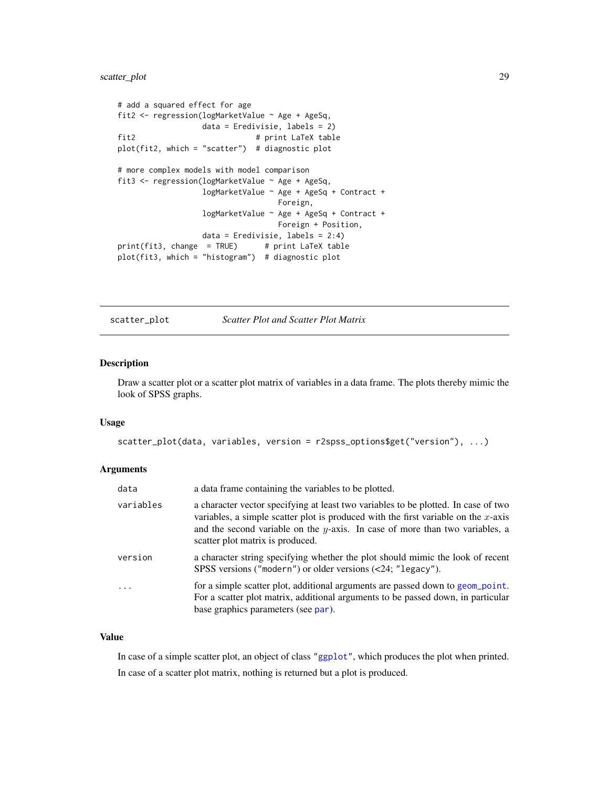# <span id="page-28-0"></span>scatter\_plot 29

```
# add a squared effect for age
fit2 <- regression(logMarketValue ~ Age + AgeSq,
                 data = Eredivisie, labels = 2)
fit2 # print LaTeX table
plot(fit2, which = "scatter") # diagnostic plot
# more complex models with model comparison
fit3 <- regression(logMarketValue ~ Age + AgeSq,
                 logMarketValue ~ Age + AgeSq + Contract +
                                 Foreign,
                 logMarketValue ~ Age + AgeSq + Contract +
                                 Foreign + Position,
                 data = Eredivisie, labels = 2:4)
print(fit3, change = TRUE) # print LaTeX table
plot(fit3, which = "histogram") # diagnostic plot
```
scatter\_plot *Scatter Plot and Scatter Plot Matrix*

# Description

Draw a scatter plot or a scatter plot matrix of variables in a data frame. The plots thereby mimic the look of SPSS graphs.

#### Usage

```
scatter_plot(data, variables, version = r2spss_options$get("version"), ...)
```
### Arguments

| data      | a data frame containing the variables to be plotted.                                                                                                                                                                                                                                            |
|-----------|-------------------------------------------------------------------------------------------------------------------------------------------------------------------------------------------------------------------------------------------------------------------------------------------------|
| variables | a character vector specifying at least two variables to be plotted. In case of two<br>variables, a simple scatter plot is produced with the first variable on the $x$ -axis<br>and the second variable on the y-axis. In case of more than two variables, a<br>scatter plot matrix is produced. |
| version   | a character string specifying whether the plot should mimic the look of recent<br>SPSS versions ("modern") or older versions (<24; "legacy").                                                                                                                                                   |
| $\cdots$  | for a simple scatter plot, additional arguments are passed down to geom_point.<br>For a scatter plot matrix, additional arguments to be passed down, in particular<br>base graphics parameters (see par).                                                                                       |

# Value

In case of a simple scatter plot, an object of class ["ggplot"](#page-0-0), which produces the plot when printed. In case of a scatter plot matrix, nothing is returned but a plot is produced.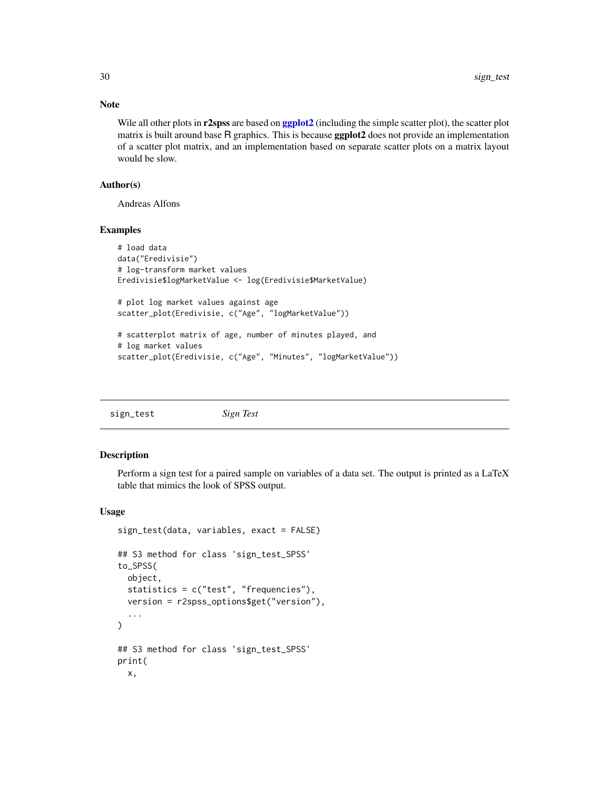# Note

Wile all other plots in r2spss are based on [ggplot2](#page-0-0) (including the simple scatter plot), the scatter plot matrix is built around base R graphics. This is because ggplot2 does not provide an implementation of a scatter plot matrix, and an implementation based on separate scatter plots on a matrix layout would be slow.

# Author(s)

Andreas Alfons

# Examples

```
# load data
data("Eredivisie")
# log-transform market values
Eredivisie$logMarketValue <- log(Eredivisie$MarketValue)
# plot log market values against age
scatter_plot(Eredivisie, c("Age", "logMarketValue"))
# scatterplot matrix of age, number of minutes played, and
# log market values
scatter_plot(Eredivisie, c("Age", "Minutes", "logMarketValue"))
```

| sign_test |  | Sign Test |
|-----------|--|-----------|
|-----------|--|-----------|

#### Description

Perform a sign test for a paired sample on variables of a data set. The output is printed as a LaTeX table that mimics the look of SPSS output.

#### Usage

```
sign_test(data, variables, exact = FALSE)
## S3 method for class 'sign_test_SPSS'
to_SPSS(
 object,
  statistics = c("test", "frequencies"),
 version = r2spss_options$get("version"),
  ...
\lambda## S3 method for class 'sign_test_SPSS'
print(
 x,
```
<span id="page-29-0"></span>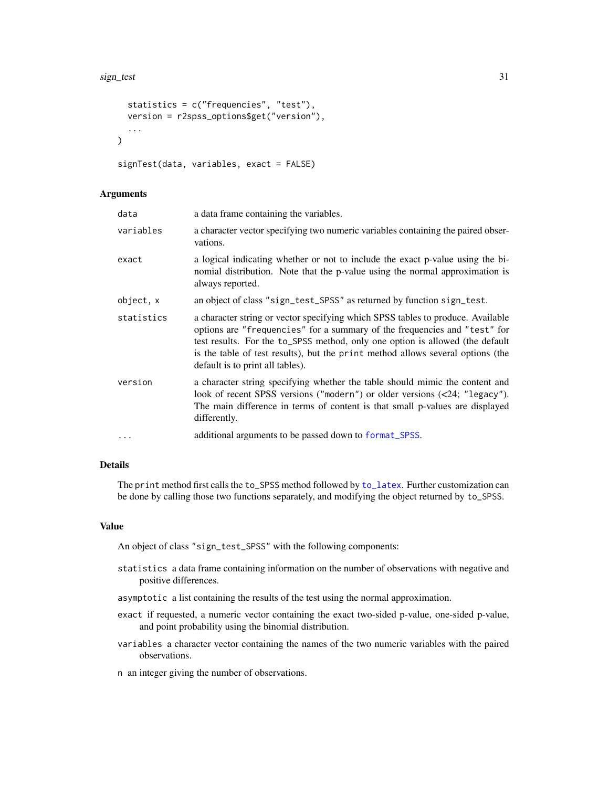```
statistics = c("frequencies", "test"),
 version = r2spss_options$get("version"),
  ...
\lambda
```

```
signTest(data, variables, exact = FALSE)
```
#### Arguments

| data       | a data frame containing the variables.                                                                                                                                                                                                                                                                                                                               |
|------------|----------------------------------------------------------------------------------------------------------------------------------------------------------------------------------------------------------------------------------------------------------------------------------------------------------------------------------------------------------------------|
| variables  | a character vector specifying two numeric variables containing the paired obser-<br>vations.                                                                                                                                                                                                                                                                         |
| exact      | a logical indicating whether or not to include the exact p-value using the bi-<br>nomial distribution. Note that the p-value using the normal approximation is<br>always reported.                                                                                                                                                                                   |
| object, x  | an object of class "sign_test_SPSS" as returned by function sign_test.                                                                                                                                                                                                                                                                                               |
| statistics | a character string or vector specifying which SPSS tables to produce. Available<br>options are "frequencies" for a summary of the frequencies and "test" for<br>test results. For the to_SPSS method, only one option is allowed (the default<br>is the table of test results), but the print method allows several options (the<br>default is to print all tables). |
| version    | a character string specifying whether the table should mimic the content and<br>look of recent SPSS versions ("modern") or older versions $(\langle 24;$ "legacy").<br>The main difference in terms of content is that small p-values are displayed<br>differently.                                                                                                  |
| $\ddots$ . | additional arguments to be passed down to format_SPSS.                                                                                                                                                                                                                                                                                                               |

# Details

The print method first calls the to\_SPSS method followed by [to\\_latex](#page-32-1). Further customization can be done by calling those two functions separately, and modifying the object returned by to\_SPSS.

#### Value

An object of class "sign\_test\_SPSS" with the following components:

- statistics a data frame containing information on the number of observations with negative and positive differences.
- asymptotic a list containing the results of the test using the normal approximation.
- exact if requested, a numeric vector containing the exact two-sided p-value, one-sided p-value, and point probability using the binomial distribution.
- variables a character vector containing the names of the two numeric variables with the paired observations.
- n an integer giving the number of observations.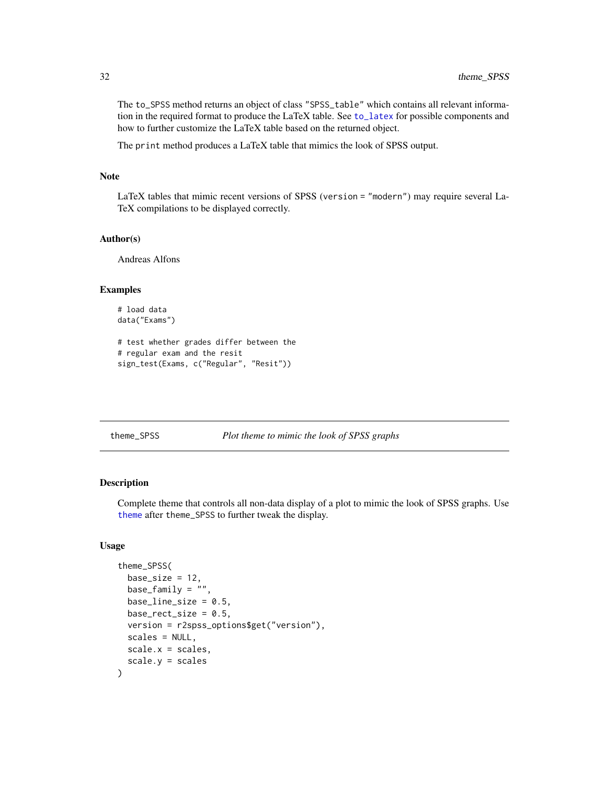The to\_SPSS method returns an object of class "SPSS\_table" which contains all relevant information in the required format to produce the LaTeX table. See [to\\_latex](#page-32-1) for possible components and how to further customize the LaTeX table based on the returned object.

The print method produces a LaTeX table that mimics the look of SPSS output.

# Note

LaTeX tables that mimic recent versions of SPSS (version = "modern") may require several La-TeX compilations to be displayed correctly.

#### Author(s)

Andreas Alfons

# Examples

```
# load data
data("Exams")
```

```
# test whether grades differ between the
# regular exam and the resit
sign_test(Exams, c("Regular", "Resit"))
```

```
theme_SPSS Plot theme to mimic the look of SPSS graphs
```
# Description

Complete theme that controls all non-data display of a plot to mimic the look of SPSS graphs. Use [theme](#page-0-0) after theme\_SPSS to further tweak the display.

# Usage

```
theme_SPSS(
 base_size = 12,
 base_family = "",
 baseline_size = 0.5,
 base_rect_size = 0.5,
  version = r2spss_options$get("version"),
  scales = NULL,
  scale.x = scales,scale.y = scales
)
```
<span id="page-31-0"></span>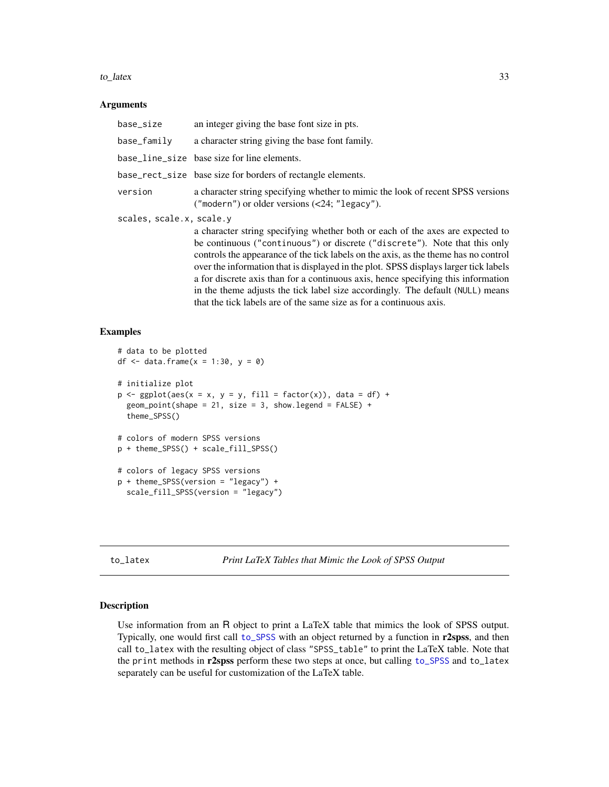#### <span id="page-32-0"></span>to\_latex 33

#### Arguments

| base_size                | an integer giving the base font size in pts.                                                                                                                      |  |
|--------------------------|-------------------------------------------------------------------------------------------------------------------------------------------------------------------|--|
| base_family              | a character string giving the base font family.                                                                                                                   |  |
|                          | base_line_size base size for line elements.                                                                                                                       |  |
|                          | base_rect_size base size for borders of rectangle elements.                                                                                                       |  |
| version                  | a character string specifying whether to mimic the look of recent SPSS versions<br>("modern") or older versions $(\langle 24;$ "legacy").                         |  |
| scales, scale.x, scale.y |                                                                                                                                                                   |  |
|                          | a character string specifying whether both or each of the axes are expected to                                                                                    |  |
|                          | be continuous ("continuous") or discrete ("discrete"). Note that this only<br>controls the appearance of the tick labels on the axis, as the theme has no control |  |

controls the appearance of the tick labels on the axis, as the theme has no control over the information that is displayed in the plot. SPSS displays larger tick labels a for discrete axis than for a continuous axis, hence specifying this information in the theme adjusts the tick label size accordingly. The default (NULL) means that the tick labels are of the same size as for a continuous axis.

### Examples

```
# data to be plotted
df \le data.frame(x = 1:30, y = 0)
# initialize plot
p \leq - ggplot(aes(x = x, y = y, fill = factor(x)), data = df) +
 geom\_point(shape = 21, size = 3, show. legend = FALSE) +theme_SPSS()
# colors of modern SPSS versions
p + theme_SPSS() + scale_fill_SPSS()
# colors of legacy SPSS versions
p + theme_SPSS(version = "legacy") +
 scale_fill_SPSS(version = "legacy")
```
<span id="page-32-1"></span>to\_latex *Print LaTeX Tables that Mimic the Look of SPSS Output*

#### Description

Use information from an R object to print a LaTeX table that mimics the look of SPSS output. Typically, one would first call [to\\_SPSS](#page-36-1) with an object returned by a function in r2spss, and then call to\_latex with the resulting object of class "SPSS\_table" to print the LaTeX table. Note that the print methods in r2spss perform these two steps at once, but calling [to\\_SPSS](#page-36-1) and to\_latex separately can be useful for customization of the LaTeX table.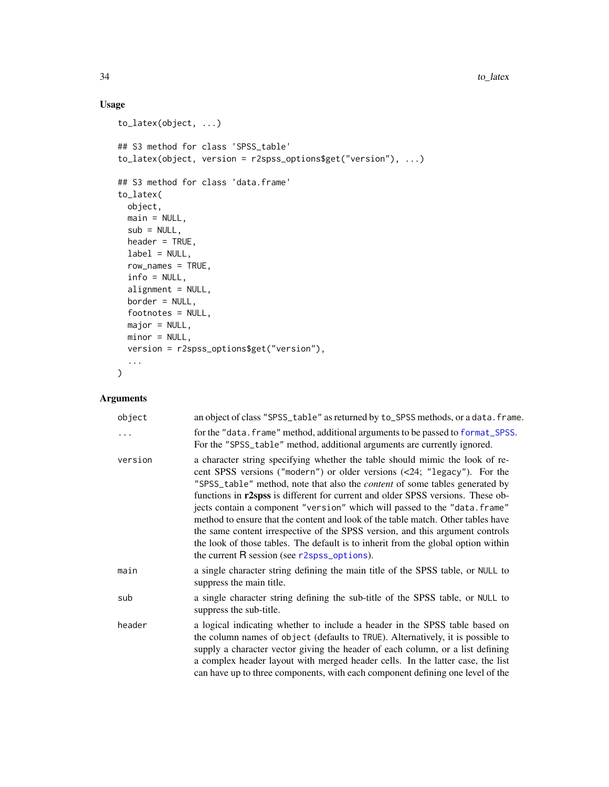# Usage

```
to_latex(object, ...)
## S3 method for class 'SPSS_table'
to_latex(object, version = r2spss_options$get("version"), ...)
## S3 method for class 'data.frame'
to_latex(
 object,
 main = NULL,
 sub = NULL,header = TRUE,
 label = NULL,row_names = TRUE,
  info = NULL,
 alignment = NULL,
 border = NULL,
 footnotes = NULL,
 major = NULL,
 minor = NULL,
 version = r2spss_options$get("version"),
  ...
\mathcal{L}
```
# Arguments

| object  | an object of class "SPSS_table" as returned by to_SPSS methods, or a data. frame.                                                                                                                                                                                                                                                                                                                                                                                                                                                                                                                                                                                                                                              |
|---------|--------------------------------------------------------------------------------------------------------------------------------------------------------------------------------------------------------------------------------------------------------------------------------------------------------------------------------------------------------------------------------------------------------------------------------------------------------------------------------------------------------------------------------------------------------------------------------------------------------------------------------------------------------------------------------------------------------------------------------|
| .       | for the "data. frame" method, additional arguments to be passed to format_SPSS.<br>For the "SPSS_table" method, additional arguments are currently ignored.                                                                                                                                                                                                                                                                                                                                                                                                                                                                                                                                                                    |
| version | a character string specifying whether the table should mimic the look of re-<br>cent SPSS versions ("modern") or older versions (<24; "legacy"). For the<br>"SPSS_table" method, note that also the <i>content</i> of some tables generated by<br>functions in <b>r2spss</b> is different for current and older SPSS versions. These ob-<br>jects contain a component "version" which will passed to the "data.frame"<br>method to ensure that the content and look of the table match. Other tables have<br>the same content irrespective of the SPSS version, and this argument controls<br>the look of those tables. The default is to inherit from the global option within<br>the current R session (see r2spss_options). |
| main    | a single character string defining the main title of the SPSS table, or NULL to<br>suppress the main title.                                                                                                                                                                                                                                                                                                                                                                                                                                                                                                                                                                                                                    |
| sub     | a single character string defining the sub-title of the SPSS table, or NULL to<br>suppress the sub-title.                                                                                                                                                                                                                                                                                                                                                                                                                                                                                                                                                                                                                      |
| header  | a logical indicating whether to include a header in the SPSS table based on<br>the column names of object (defaults to TRUE). Alternatively, it is possible to<br>supply a character vector giving the header of each column, or a list defining<br>a complex header layout with merged header cells. In the latter case, the list<br>can have up to three components, with each component defining one level of the                                                                                                                                                                                                                                                                                                           |

<span id="page-33-0"></span>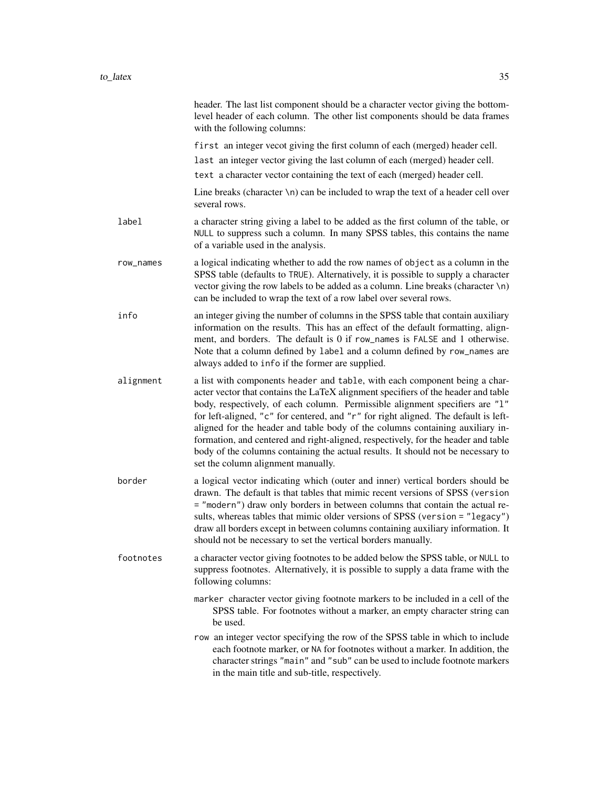|           | header. The last list component should be a character vector giving the bottom-<br>level header of each column. The other list components should be data frames<br>with the following columns:                                                                                                                                                                                                                                                                                                                                                                                                                                         |
|-----------|----------------------------------------------------------------------------------------------------------------------------------------------------------------------------------------------------------------------------------------------------------------------------------------------------------------------------------------------------------------------------------------------------------------------------------------------------------------------------------------------------------------------------------------------------------------------------------------------------------------------------------------|
|           | first an integer vecot giving the first column of each (merged) header cell.                                                                                                                                                                                                                                                                                                                                                                                                                                                                                                                                                           |
|           | last an integer vector giving the last column of each (merged) header cell.                                                                                                                                                                                                                                                                                                                                                                                                                                                                                                                                                            |
|           | text a character vector containing the text of each (merged) header cell.                                                                                                                                                                                                                                                                                                                                                                                                                                                                                                                                                              |
|           | Line breaks (character $\n\lambda$ n) can be included to wrap the text of a header cell over<br>several rows.                                                                                                                                                                                                                                                                                                                                                                                                                                                                                                                          |
| label     | a character string giving a label to be added as the first column of the table, or<br>NULL to suppress such a column. In many SPSS tables, this contains the name<br>of a variable used in the analysis.                                                                                                                                                                                                                                                                                                                                                                                                                               |
| row_names | a logical indicating whether to add the row names of object as a column in the<br>SPSS table (defaults to TRUE). Alternatively, it is possible to supply a character<br>vector giving the row labels to be added as a column. Line breaks (character $\ln$ )<br>can be included to wrap the text of a row label over several rows.                                                                                                                                                                                                                                                                                                     |
| info      | an integer giving the number of columns in the SPSS table that contain auxiliary<br>information on the results. This has an effect of the default formatting, align-<br>ment, and borders. The default is 0 if row_names is FALSE and 1 otherwise.<br>Note that a column defined by label and a column defined by row_names are<br>always added to info if the former are supplied.                                                                                                                                                                                                                                                    |
| alignment | a list with components header and table, with each component being a char-<br>acter vector that contains the LaTeX alignment specifiers of the header and table<br>body, respectively, of each column. Permissible alignment specifiers are "1"<br>for left-aligned, "c" for centered, and "r" for right aligned. The default is left-<br>aligned for the header and table body of the columns containing auxiliary in-<br>formation, and centered and right-aligned, respectively, for the header and table<br>body of the columns containing the actual results. It should not be necessary to<br>set the column alignment manually. |
| border    | a logical vector indicating which (outer and inner) vertical borders should be<br>drawn. The default is that tables that mimic recent versions of SPSS (version<br>= "modern") draw only borders in between columns that contain the actual re-<br>sults, whereas tables that mimic older versions of SPSS (version = "legacy")<br>draw all borders except in between columns containing auxiliary information. It<br>should not be necessary to set the vertical borders manually.                                                                                                                                                    |
| footnotes | a character vector giving footnotes to be added below the SPSS table, or NULL to<br>suppress footnotes. Alternatively, it is possible to supply a data frame with the<br>following columns:                                                                                                                                                                                                                                                                                                                                                                                                                                            |
|           | marker character vector giving footnote markers to be included in a cell of the<br>SPSS table. For footnotes without a marker, an empty character string can<br>be used.                                                                                                                                                                                                                                                                                                                                                                                                                                                               |
|           | row an integer vector specifying the row of the SPSS table in which to include<br>each footnote marker, or NA for footnotes without a marker. In addition, the<br>character strings "main" and "sub" can be used to include footnote markers<br>in the main title and sub-title, respectively.                                                                                                                                                                                                                                                                                                                                         |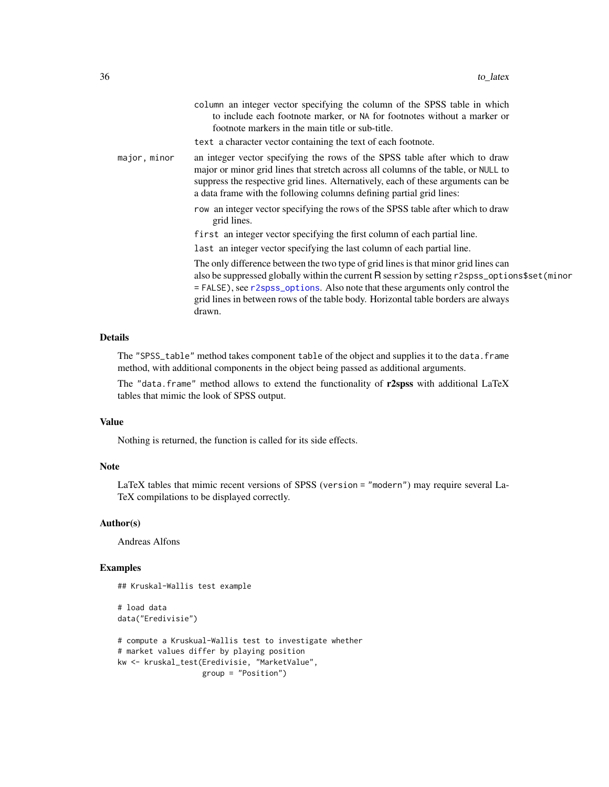<span id="page-35-0"></span>

|              | column an integer vector specifying the column of the SPSS table in which<br>to include each footnote marker, or NA for footnotes without a marker or<br>footnote markers in the main title or sub-title.                                                                                                                                                            |
|--------------|----------------------------------------------------------------------------------------------------------------------------------------------------------------------------------------------------------------------------------------------------------------------------------------------------------------------------------------------------------------------|
|              | text a character vector containing the text of each footnote.                                                                                                                                                                                                                                                                                                        |
| major, minor | an integer vector specifying the rows of the SPSS table after which to draw<br>major or minor grid lines that stretch across all columns of the table, or NULL to<br>suppress the respective grid lines. Alternatively, each of these arguments can be<br>a data frame with the following columns defining partial grid lines:                                       |
|              | row an integer vector specifying the rows of the SPSS table after which to draw<br>grid lines.                                                                                                                                                                                                                                                                       |
|              | first an integer vector specifying the first column of each partial line.                                                                                                                                                                                                                                                                                            |
|              | last an integer vector specifying the last column of each partial line.                                                                                                                                                                                                                                                                                              |
|              | The only difference between the two type of grid lines is that minor grid lines can<br>also be suppressed globally within the current R session by setting r2spss_options\$set(minor<br>= FALSE), see r2spss_options. Also note that these arguments only control the<br>grid lines in between rows of the table body. Horizontal table borders are always<br>drawn. |

#### Details

The "SPSS\_table" method takes component table of the object and supplies it to the data.frame method, with additional components in the object being passed as additional arguments.

The "data.frame" method allows to extend the functionality of  $r2spss$  with additional LaTeX tables that mimic the look of SPSS output.

# Value

Nothing is returned, the function is called for its side effects.

# Note

LaTeX tables that mimic recent versions of SPSS (version = "modern") may require several La-TeX compilations to be displayed correctly.

### Author(s)

Andreas Alfons

# Examples

```
## Kruskal-Wallis test example
```

```
# load data
data("Eredivisie")
```

```
# compute a Kruskual-Wallis test to investigate whether
# market values differ by playing position
kw <- kruskal_test(Eredivisie, "MarketValue",
                  group = "Position")
```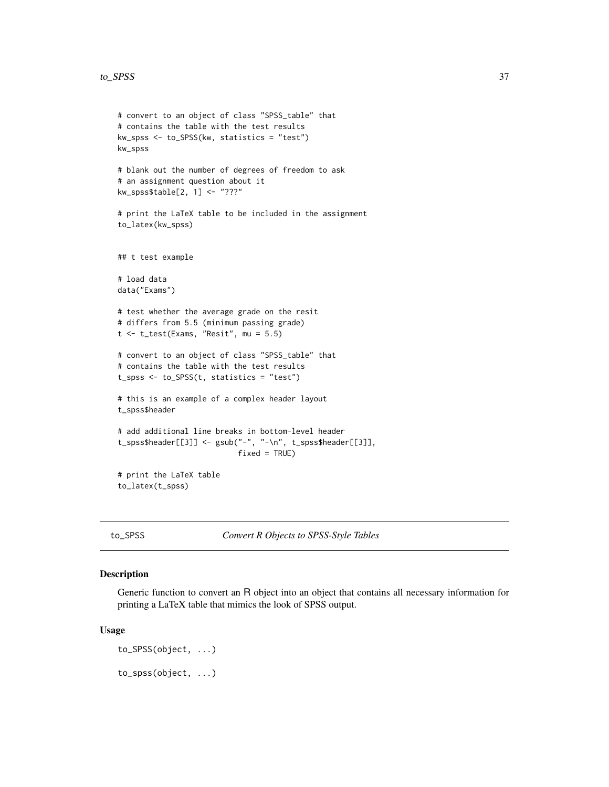```
# convert to an object of class "SPSS_table" that
# contains the table with the test results
kw_spss <- to_SPSS(kw, statistics = "test")
kw_spss
# blank out the number of degrees of freedom to ask
# an assignment question about it
kw_spss$table[2, 1] <- "???"
# print the LaTeX table to be included in the assignment
to_latex(kw_spss)
## t test example
# load data
data("Exams")
# test whether the average grade on the resit
# differs from 5.5 (minimum passing grade)
t < -t_{test(Examples, "Resit", mu = 5.5)}# convert to an object of class "SPSS_table" that
# contains the table with the test results
t_spss <- to_SPSS(t, statistics = "test")
# this is an example of a complex header layout
t_spss$header
# add additional line breaks in bottom-level header
t_spss$header[[3]] <- gsub("-", "-\n", t_spss$header[[3]],
                           fixed = TRUE)
# print the LaTeX table
to_latex(t_spss)
```
<span id="page-36-1"></span>to\_SPSS *Convert R Objects to SPSS-Style Tables*

# Description

Generic function to convert an R object into an object that contains all necessary information for printing a LaTeX table that mimics the look of SPSS output.

#### Usage

```
to_SPSS(object, ...)
to_spss(object, ...)
```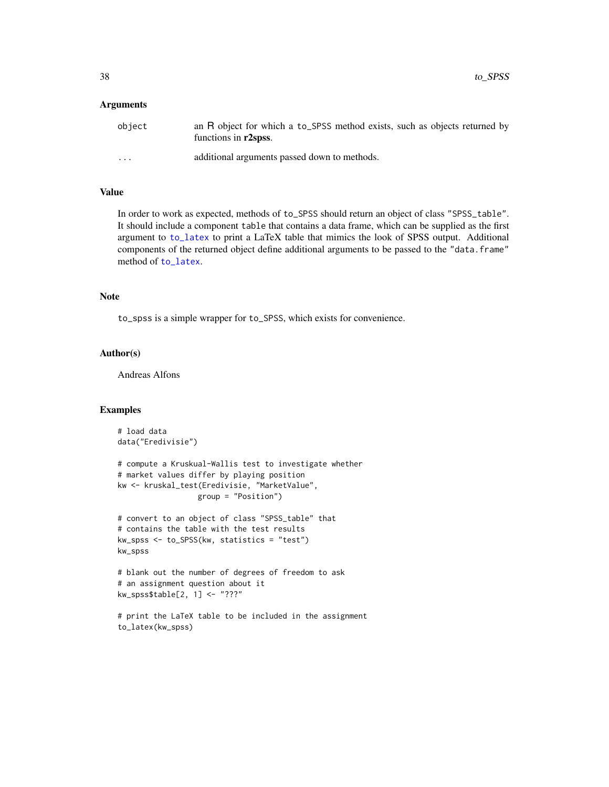#### <span id="page-37-0"></span>**Arguments**

| object                  | an R object for which a to_SPSS method exists, such as objects returned by<br>functions in r2spss. |
|-------------------------|----------------------------------------------------------------------------------------------------|
| $\cdot$ $\cdot$ $\cdot$ | additional arguments passed down to methods.                                                       |

# Value

In order to work as expected, methods of to\_SPSS should return an object of class "SPSS\_table". It should include a component table that contains a data frame, which can be supplied as the first argument to [to\\_latex](#page-32-1) to print a LaTeX table that mimics the look of SPSS output. Additional components of the returned object define additional arguments to be passed to the "data.frame" method of [to\\_latex](#page-32-1).

#### Note

to\_spss is a simple wrapper for to\_SPSS, which exists for convenience.

#### Author(s)

Andreas Alfons

# Examples

```
# load data
data("Eredivisie")
# compute a Kruskual-Wallis test to investigate whether
# market values differ by playing position
kw <- kruskal_test(Eredivisie, "MarketValue",
                  group = "Position")
# convert to an object of class "SPSS_table" that
# contains the table with the test results
kw_spss <- to_SPSS(kw, statistics = "test")
kw_spss
# blank out the number of degrees of freedom to ask
# an assignment question about it
kw_spss$table[2, 1] <- "???"
# print the LaTeX table to be included in the assignment
```
to\_latex(kw\_spss)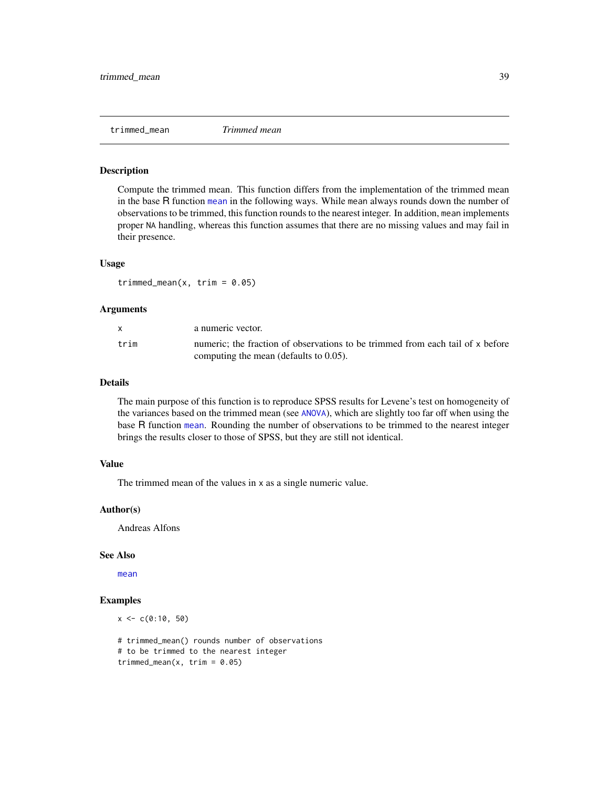<span id="page-38-1"></span><span id="page-38-0"></span>

#### Description

Compute the trimmed mean. This function differs from the implementation of the trimmed mean in the base R function [mean](#page-0-0) in the following ways. While mean always rounds down the number of observations to be trimmed, this function rounds to the nearest integer. In addition, mean implements proper NA handling, whereas this function assumes that there are no missing values and may fail in their presence.

#### Usage

trimmed\_mean(x, trim =  $0.05$ )

#### **Arguments**

|      | a numeric vector.                                                              |
|------|--------------------------------------------------------------------------------|
| trim | numeric: the fraction of observations to be trimmed from each tail of x before |
|      | computing the mean (defaults to $0.05$ ).                                      |

# Details

The main purpose of this function is to reproduce SPSS results for Levene's test on homogeneity of the variances based on the trimmed mean (see [ANOVA](#page-3-1)), which are slightly too far off when using the base R function [mean](#page-0-0). Rounding the number of observations to be trimmed to the nearest integer brings the results closer to those of SPSS, but they are still not identical.

#### Value

The trimmed mean of the values in x as a single numeric value.

# Author(s)

Andreas Alfons

# See Also

[mean](#page-0-0)

#### Examples

```
x \leq -c(0:10, 50)# trimmed_mean() rounds number of observations
# to be trimmed to the nearest integer
trimmed_mean(x, trim = 0.05)
```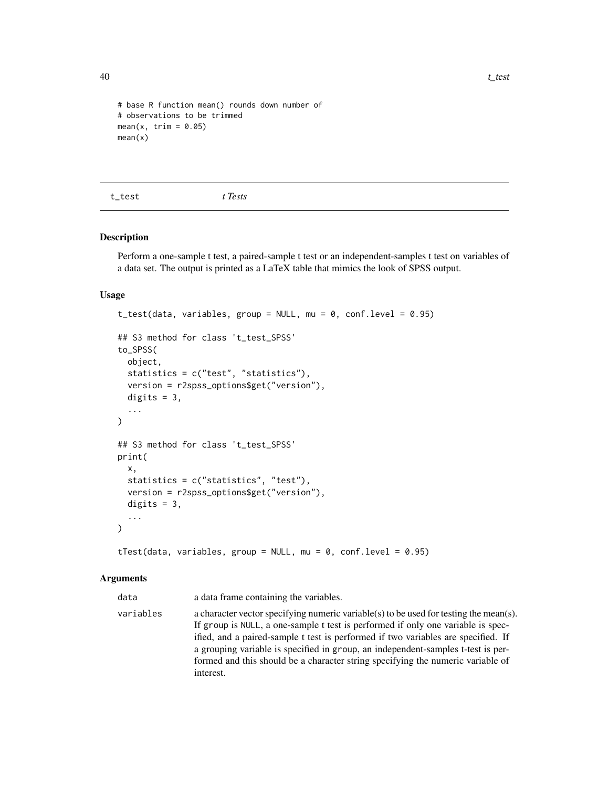```
# base R function mean() rounds down number of
# observations to be trimmed
mean(x, trim = 0.05)mean(x)
```
t\_test *t Tests*

#### Description

Perform a one-sample t test, a paired-sample t test or an independent-samples t test on variables of a data set. The output is printed as a LaTeX table that mimics the look of SPSS output.

#### Usage

```
t_test(data, variables, group = NULL, mu = 0, conf.level = 0.95)
## S3 method for class 't_test_SPSS'
to_SPSS(
  object,
  statistics = c("test", "statistics"),
 version = r2spss_options$get("version"),
 digits = 3,
  ...
\mathcal{E}## S3 method for class 't_test_SPSS'
print(
 x,
  statistics = c("statistics", "test"),
  version = r2spss_options$get("version"),
 digits = 3,
  ...
)
```

```
tTest(data, variables, group = NULL, mu = 0, conf.level = 0.95)
```
#### Arguments

data a data frame containing the variables.

variables a character vector specifying numeric variable(s) to be used for testing the mean(s). If group is NULL, a one-sample t test is performed if only one variable is specified, and a paired-sample t test is performed if two variables are specified. If a grouping variable is specified in group, an independent-samples t-test is performed and this should be a character string specifying the numeric variable of interest.

<span id="page-39-0"></span>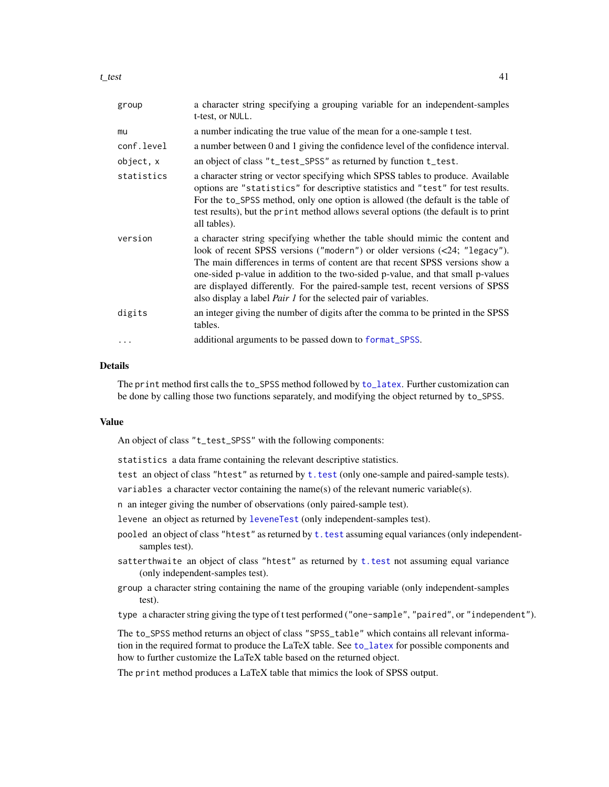<span id="page-40-0"></span>

| group      | a character string specifying a grouping variable for an independent-samples<br>t-test, or NULL.                                                                                                                                                                                                                                                                                                                                                                                           |
|------------|--------------------------------------------------------------------------------------------------------------------------------------------------------------------------------------------------------------------------------------------------------------------------------------------------------------------------------------------------------------------------------------------------------------------------------------------------------------------------------------------|
| mu         | a number indicating the true value of the mean for a one-sample t test.                                                                                                                                                                                                                                                                                                                                                                                                                    |
| conf.level | a number between 0 and 1 giving the confidence level of the confidence interval.                                                                                                                                                                                                                                                                                                                                                                                                           |
| object, x  | an object of class "t_test_SPSS" as returned by function t_test.                                                                                                                                                                                                                                                                                                                                                                                                                           |
| statistics | a character string or vector specifying which SPSS tables to produce. Available<br>options are "statistics" for descriptive statistics and "test" for test results.<br>For the to_SPSS method, only one option is allowed (the default is the table of<br>test results), but the print method allows several options (the default is to print<br>all tables).                                                                                                                              |
| version    | a character string specifying whether the table should mimic the content and<br>look of recent SPSS versions ("modern") or older versions (<24; "legacy").<br>The main differences in terms of content are that recent SPSS versions show a<br>one-sided p-value in addition to the two-sided p-value, and that small p-values<br>are displayed differently. For the paired-sample test, recent versions of SPSS<br>also display a label <i>Pair 1</i> for the selected pair of variables. |
| digits     | an integer giving the number of digits after the comma to be printed in the SPSS<br>tables.                                                                                                                                                                                                                                                                                                                                                                                                |
| $\ddots$ . | additional arguments to be passed down to format_SPSS.                                                                                                                                                                                                                                                                                                                                                                                                                                     |

# **Details**

The print method first calls the to\_SPSS method followed by [to\\_latex](#page-32-1). Further customization can be done by calling those two functions separately, and modifying the object returned by to\_SPSS.

#### Value

An object of class "t\_test\_SPSS" with the following components:

statistics a data frame containing the relevant descriptive statistics.

test an object of class "htest" as returned by [t.test](#page-0-0) (only one-sample and paired-sample tests).

variables a character vector containing the name(s) of the relevant numeric variable(s).

n an integer giving the number of observations (only paired-sample test).

- levene an object as returned by [leveneTest](#page-0-0) (only independent-samples test).
- pooled an object of class "htest" as returned by  $t$ . test assuming equal variances (only independentsamples test).
- satterthwaite an object of class "htest" as returned by [t.test](#page-0-0) not assuming equal variance (only independent-samples test).
- group a character string containing the name of the grouping variable (only independent-samples test).

type a character string giving the type of t test performed ("one-sample", "paired", or "independent").

The to\_SPSS method returns an object of class "SPSS\_table" which contains all relevant information in the required format to produce the LaTeX table. See [to\\_latex](#page-32-1) for possible components and how to further customize the LaTeX table based on the returned object.

The print method produces a LaTeX table that mimics the look of SPSS output.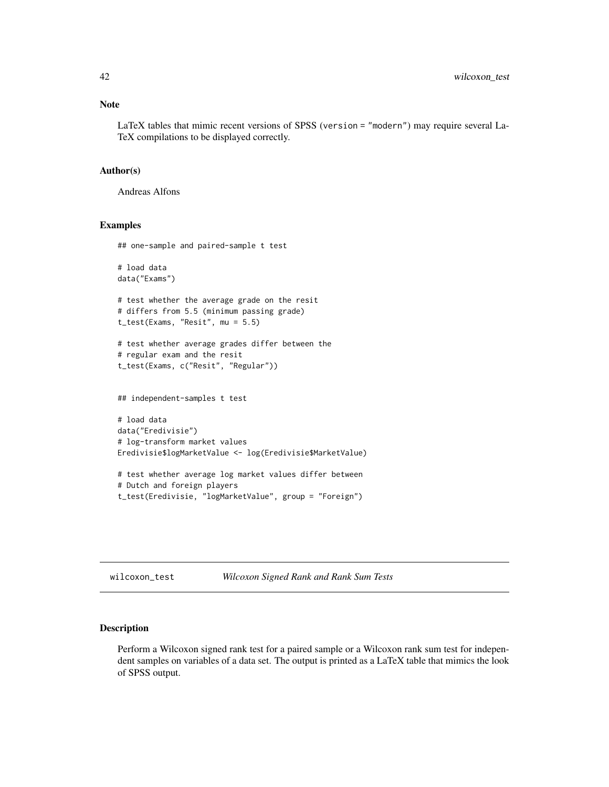<span id="page-41-0"></span>LaTeX tables that mimic recent versions of SPSS (version = "modern") may require several La-TeX compilations to be displayed correctly.

#### Author(s)

Andreas Alfons

#### Examples

## one-sample and paired-sample t test

```
# load data
data("Exams")
# test whether the average grade on the resit
# differs from 5.5 (minimum passing grade)
t_test(Exams, "Resit", mu = 5.5)
# test whether average grades differ between the
# regular exam and the resit
t_test(Exams, c("Resit", "Regular"))
## independent-samples t test
# load data
data("Eredivisie")
# log-transform market values
Eredivisie$logMarketValue <- log(Eredivisie$MarketValue)
# test whether average log market values differ between
# Dutch and foreign players
```

```
t_test(Eredivisie, "logMarketValue", group = "Foreign")
```
wilcoxon\_test *Wilcoxon Signed Rank and Rank Sum Tests*

# Description

Perform a Wilcoxon signed rank test for a paired sample or a Wilcoxon rank sum test for independent samples on variables of a data set. The output is printed as a LaTeX table that mimics the look of SPSS output.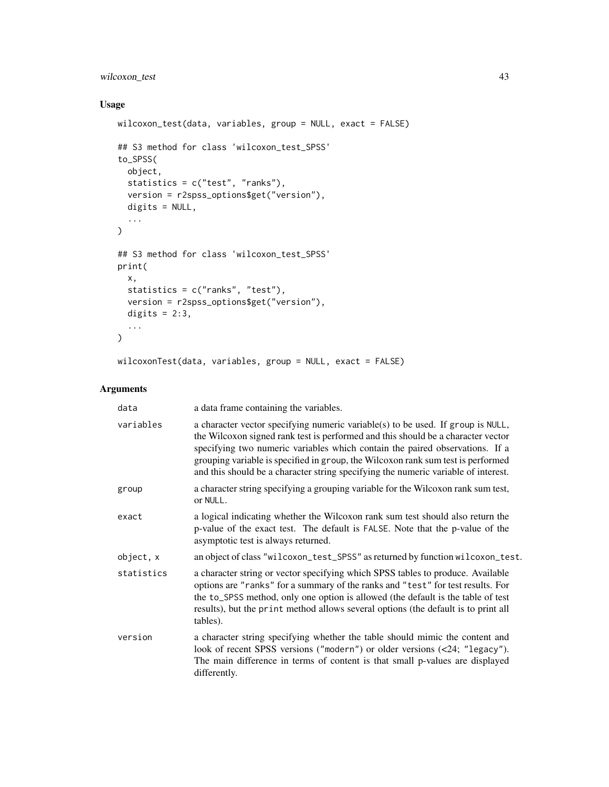# wilcoxon\_test 43

# Usage

```
wilcoxon_test(data, variables, group = NULL, exact = FALSE)
## S3 method for class 'wilcoxon_test_SPSS'
to_SPSS(
  object,
  statistics = c("test", "ranks"),
  version = r2spss_options$get("version"),
  digits = NULL,
  ...
\mathcal{L}## S3 method for class 'wilcoxon_test_SPSS'
print(
  x,
  statistics = c("ranks", "test"),
  version = r2spss_options$get("version"),
  digits = 2:3,
  ...
)
wilcoxonTest(data, variables, group = NULL, exact = FALSE)
```
### Arguments

| data       | a data frame containing the variables.                                                                                                                                                                                                                                                                                                                                                                                        |
|------------|-------------------------------------------------------------------------------------------------------------------------------------------------------------------------------------------------------------------------------------------------------------------------------------------------------------------------------------------------------------------------------------------------------------------------------|
| variables  | a character vector specifying numeric variable(s) to be used. If group is NULL,<br>the Wilcoxon signed rank test is performed and this should be a character vector<br>specifying two numeric variables which contain the paired observations. If a<br>grouping variable is specified in group, the Wilcoxon rank sum test is performed<br>and this should be a character string specifying the numeric variable of interest. |
| group      | a character string specifying a grouping variable for the Wilcoxon rank sum test,<br>or NULL.                                                                                                                                                                                                                                                                                                                                 |
| exact      | a logical indicating whether the Wilcoxon rank sum test should also return the<br>p-value of the exact test. The default is FALSE. Note that the p-value of the<br>asymptotic test is always returned.                                                                                                                                                                                                                        |
| object, x  | an object of class "wilcoxon_test_SPSS" as returned by function wilcoxon_test.                                                                                                                                                                                                                                                                                                                                                |
| statistics | a character string or vector specifying which SPSS tables to produce. Available<br>options are "ranks" for a summary of the ranks and "test" for test results. For<br>the to_SPSS method, only one option is allowed (the default is the table of test<br>results), but the print method allows several options (the default is to print all<br>tables).                                                                      |
| version    | a character string specifying whether the table should mimic the content and<br>look of recent SPSS versions ("modern") or older versions (<24; "legacy").<br>The main difference in terms of content is that small p-values are displayed<br>differently.                                                                                                                                                                    |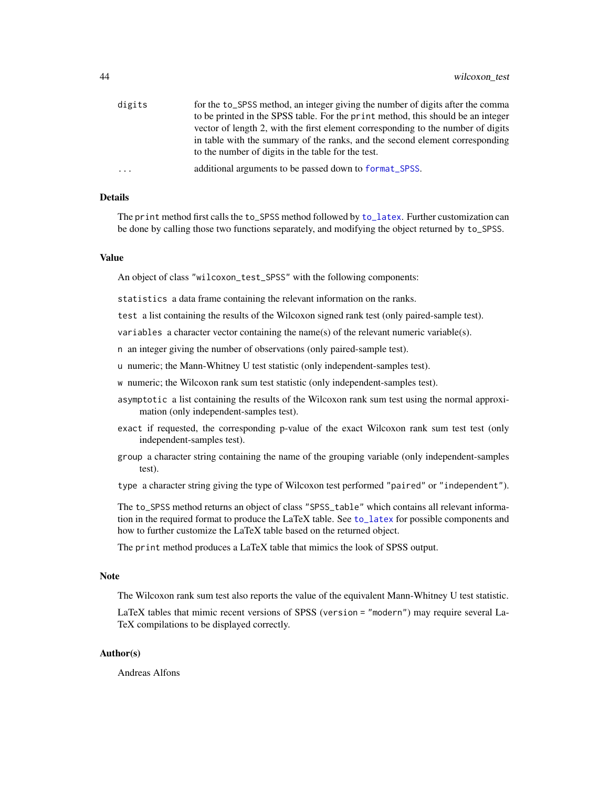<span id="page-43-0"></span>

| digits   | for the to_SPSS method, an integer giving the number of digits after the comma   |
|----------|----------------------------------------------------------------------------------|
|          | to be printed in the SPSS table. For the print method, this should be an integer |
|          | vector of length 2, with the first element corresponding to the number of digits |
|          | in table with the summary of the ranks, and the second element corresponding     |
|          | to the number of digits in the table for the test.                               |
| $\cdots$ | additional arguments to be passed down to format_SPSS.                           |

# Details

The print method first calls the to\_SPSS method followed by [to\\_latex](#page-32-1). Further customization can be done by calling those two functions separately, and modifying the object returned by to\_SPSS.

# Value

An object of class "wilcoxon\_test\_SPSS" with the following components:

statistics a data frame containing the relevant information on the ranks.

test a list containing the results of the Wilcoxon signed rank test (only paired-sample test).

variables a character vector containing the name(s) of the relevant numeric variable(s).

n an integer giving the number of observations (only paired-sample test).

u numeric; the Mann-Whitney U test statistic (only independent-samples test).

w numeric; the Wilcoxon rank sum test statistic (only independent-samples test).

- asymptotic a list containing the results of the Wilcoxon rank sum test using the normal approximation (only independent-samples test).
- exact if requested, the corresponding p-value of the exact Wilcoxon rank sum test test (only independent-samples test).
- group a character string containing the name of the grouping variable (only independent-samples test).

type a character string giving the type of Wilcoxon test performed "paired" or "independent").

The to\_SPSS method returns an object of class "SPSS\_table" which contains all relevant information in the required format to produce the LaTeX table. See [to\\_latex](#page-32-1) for possible components and how to further customize the LaTeX table based on the returned object.

The print method produces a LaTeX table that mimics the look of SPSS output.

#### Note

The Wilcoxon rank sum test also reports the value of the equivalent Mann-Whitney U test statistic.

LaTeX tables that mimic recent versions of SPSS (version = "modern") may require several La-TeX compilations to be displayed correctly.

# Author(s)

Andreas Alfons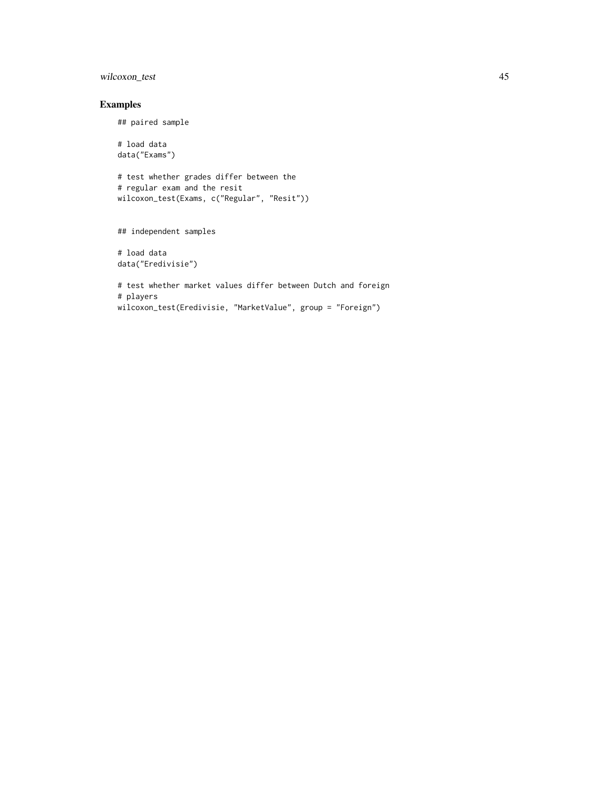# wilcoxon\_test 45

# Examples

## paired sample

# load data data("Exams")

# test whether grades differ between the # regular exam and the resit wilcoxon\_test(Exams, c("Regular", "Resit"))

## independent samples

# load data data("Eredivisie")

# test whether market values differ between Dutch and foreign # players wilcoxon\_test(Eredivisie, "MarketValue", group = "Foreign")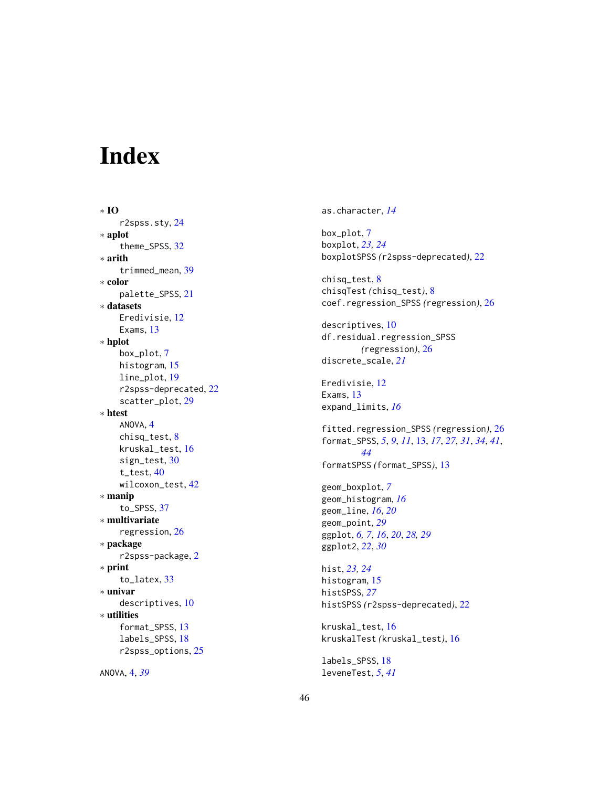# <span id="page-45-0"></span>Index

∗ IO r2spss.sty , [24](#page-23-0) ∗ aplot theme\_SPSS , [32](#page-31-0) ∗ arith trimmed\_mean , [39](#page-38-0) ∗ color palette\_SPSS , [21](#page-20-0) ∗ datasets Eredivisie, [12](#page-11-0) Exams, [13](#page-12-0) ∗ hplot box\_plot , [7](#page-6-0) histogram , [15](#page-14-0) line\_plot , [19](#page-18-0) r2spss-deprecated , [22](#page-21-0) scatter\_plot , [29](#page-28-0) ∗ htest ANOVA, [4](#page-3-0) chisq\_test , [8](#page-7-0) kruskal\_test , [16](#page-15-0) sign\_test, [30](#page-29-0) t\_test , [40](#page-39-0) wilcoxon\_test , [42](#page-41-0) ∗ manip to\_SPSS , [37](#page-36-0) ∗ multivariate regression , [26](#page-25-0) ∗ package r2spss-package , [2](#page-1-0) ∗ print to\_latex , [33](#page-32-0) ∗ univar descriptives , [10](#page-9-0) ∗ utilities format\_SPSS , [13](#page-12-0) labels\_SPSS , [18](#page-17-0) r2spss\_options , [25](#page-24-0)

ANOVA , [4](#page-3-0) , *[39](#page-38-0)*

as.character , *[14](#page-13-0)*

box\_plot , [7](#page-6-0) boxplot , *[23](#page-22-0) , [24](#page-23-0)* boxplotSPSS *(*r2spss-deprecated *)* , [22](#page-21-0)

chisq\_test , [8](#page-7-0) chisqTest *(*chisq\_test *)* , [8](#page-7-0) coef.regression\_SPSS *(*regression *)* , [26](#page-25-0)

descriptives , [10](#page-9-0) df.residual.regression\_SPSS *(*regression*)*, [26](#page-25-0) discrete\_scale , *[21](#page-20-0)*

Eredivisie, [12](#page-11-0) Exams, [13](#page-12-0) expand\_limits , *[16](#page-15-0)*

fitted.regression\_SPSS *(*regression *)* , [26](#page-25-0) format\_SPSS , *[5](#page-4-0)* , *[9](#page-8-0)* , *[11](#page-10-0)* , [13](#page-12-0) , *[17](#page-16-0)* , *[27](#page-26-0)* , *[31](#page-30-0)* , *[34](#page-33-0)* , *[41](#page-40-0)* , *[44](#page-43-0)* formatSPSS *(*format\_SPSS *)* , [13](#page-12-0)

geom\_boxplot , *[7](#page-6-0)* geom\_histogram , *[16](#page-15-0)* geom\_line , *[16](#page-15-0)* , *[20](#page-19-0)* geom\_point , *[29](#page-28-0)* ggplot , *[6,](#page-5-0) [7](#page-6-0)* , *[16](#page-15-0)* , *[20](#page-19-0)* , *[28](#page-27-0) , [29](#page-28-0)* ggplot2 , *[22](#page-21-0)* , *[30](#page-29-0)*

hist , *[23](#page-22-0) , [24](#page-23-0)* histogram, [15](#page-14-0) histSPSS , *[27](#page-26-0)* histSPSS *(*r2spss-deprecated *)* , [22](#page-21-0)

kruskal\_test , [16](#page-15-0) kruskalTest *(*kruskal\_test *)* , [16](#page-15-0)

labels\_SPSS , [18](#page-17-0) leveneTest , *[5](#page-4-0)* , *[41](#page-40-0)*